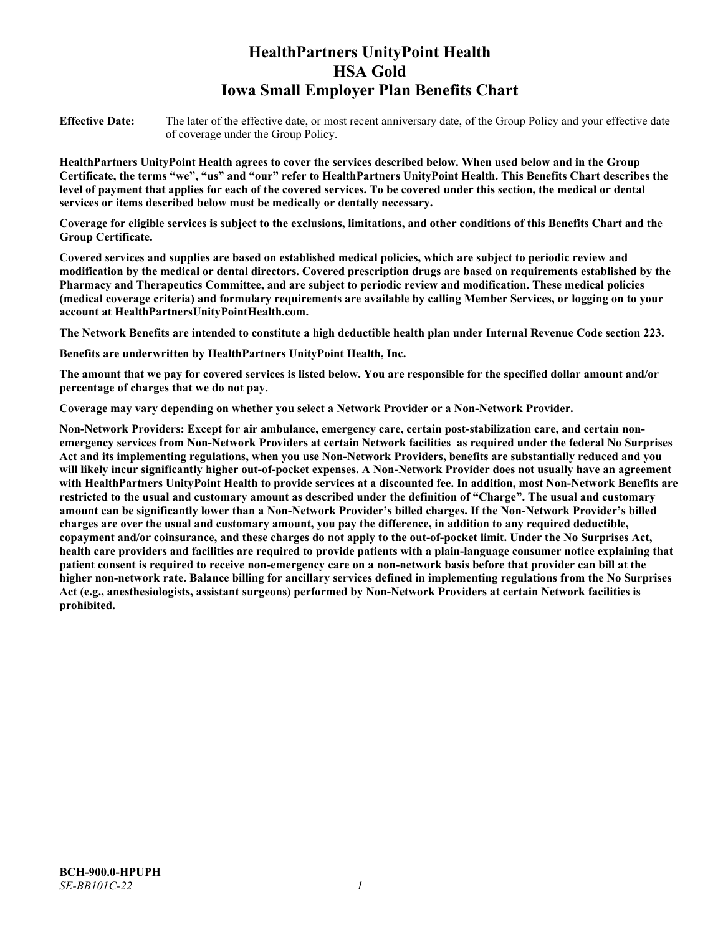# **HealthPartners UnityPoint Health HSA Gold Iowa Small Employer Plan Benefits Chart**

**Effective Date:** The later of the effective date, or most recent anniversary date, of the Group Policy and your effective date of coverage under the Group Policy.

**HealthPartners UnityPoint Health agrees to cover the services described below. When used below and in the Group Certificate, the terms "we", "us" and "our" refer to HealthPartners UnityPoint Health. This Benefits Chart describes the level of payment that applies for each of the covered services. To be covered under this section, the medical or dental services or items described below must be medically or dentally necessary.**

**Coverage for eligible services is subject to the exclusions, limitations, and other conditions of this Benefits Chart and the Group Certificate.** 

**Covered services and supplies are based on established medical policies, which are subject to periodic review and modification by the medical or dental directors. Covered prescription drugs are based on requirements established by the Pharmacy and Therapeutics Committee, and are subject to periodic review and modification. These medical policies (medical coverage criteria) and formulary requirements are available by calling Member Services, or logging on to your account at [HealthPartnersUnityPointHealth.com.](https://www.healthpartnersunitypointhealth.com/)**

**The Network Benefits are intended to constitute a high deductible health plan under Internal Revenue Code section 223.**

**Benefits are underwritten by HealthPartners UnityPoint Health, Inc.**

**The amount that we pay for covered services is listed below. You are responsible for the specified dollar amount and/or percentage of charges that we do not pay.**

**Coverage may vary depending on whether you select a Network Provider or a Non-Network Provider.**

**Non-Network Providers: Except for air ambulance, emergency care, certain post-stabilization care, and certain nonemergency services from Non-Network Providers at certain Network facilities as required under the federal No Surprises Act and its implementing regulations, when you use Non-Network Providers, benefits are substantially reduced and you will likely incur significantly higher out-of-pocket expenses. A Non-Network Provider does not usually have an agreement with HealthPartners UnityPoint Health to provide services at a discounted fee. In addition, most Non-Network Benefits are restricted to the usual and customary amount as described under the definition of "Charge". The usual and customary amount can be significantly lower than a Non-Network Provider's billed charges. If the Non-Network Provider's billed charges are over the usual and customary amount, you pay the difference, in addition to any required deductible, copayment and/or coinsurance, and these charges do not apply to the out-of-pocket limit. Under the No Surprises Act, health care providers and facilities are required to provide patients with a plain-language consumer notice explaining that patient consent is required to receive non-emergency care on a non-network basis before that provider can bill at the higher non-network rate. Balance billing for ancillary services defined in implementing regulations from the No Surprises Act (e.g., anesthesiologists, assistant surgeons) performed by Non-Network Providers at certain Network facilities is prohibited.**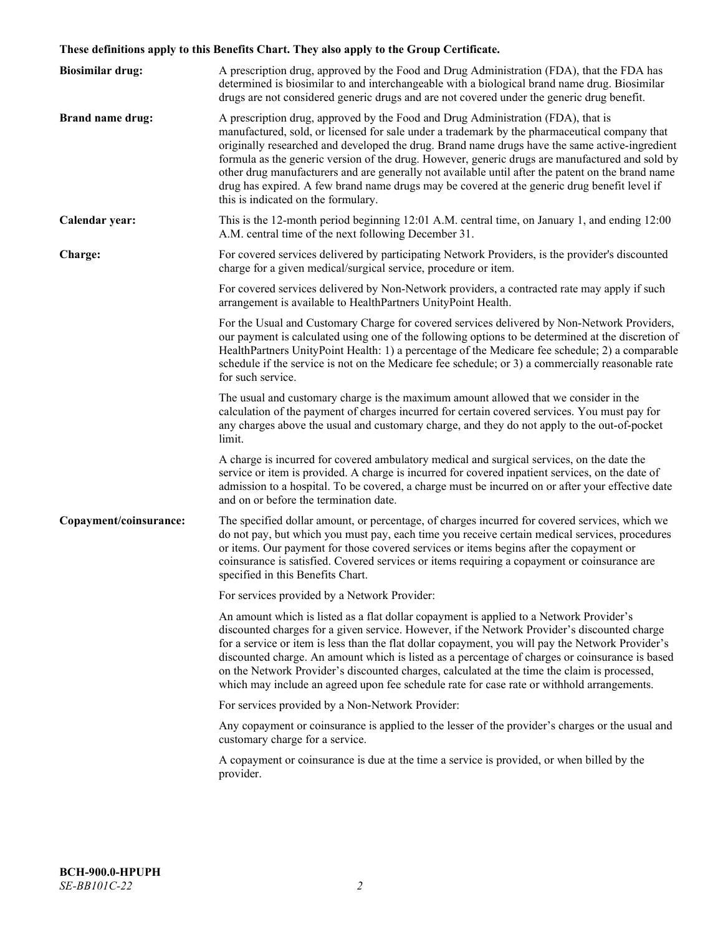# **These definitions apply to this Benefits Chart. They also apply to the Group Certificate.**

| <b>Biosimilar drug:</b> | A prescription drug, approved by the Food and Drug Administration (FDA), that the FDA has<br>determined is biosimilar to and interchangeable with a biological brand name drug. Biosimilar<br>drugs are not considered generic drugs and are not covered under the generic drug benefit.                                                                                                                                                                                                                                                                                                                                           |
|-------------------------|------------------------------------------------------------------------------------------------------------------------------------------------------------------------------------------------------------------------------------------------------------------------------------------------------------------------------------------------------------------------------------------------------------------------------------------------------------------------------------------------------------------------------------------------------------------------------------------------------------------------------------|
| <b>Brand name drug:</b> | A prescription drug, approved by the Food and Drug Administration (FDA), that is<br>manufactured, sold, or licensed for sale under a trademark by the pharmaceutical company that<br>originally researched and developed the drug. Brand name drugs have the same active-ingredient<br>formula as the generic version of the drug. However, generic drugs are manufactured and sold by<br>other drug manufacturers and are generally not available until after the patent on the brand name<br>drug has expired. A few brand name drugs may be covered at the generic drug benefit level if<br>this is indicated on the formulary. |
| Calendar year:          | This is the 12-month period beginning 12:01 A.M. central time, on January 1, and ending 12:00<br>A.M. central time of the next following December 31.                                                                                                                                                                                                                                                                                                                                                                                                                                                                              |
| Charge:                 | For covered services delivered by participating Network Providers, is the provider's discounted<br>charge for a given medical/surgical service, procedure or item.                                                                                                                                                                                                                                                                                                                                                                                                                                                                 |
|                         | For covered services delivered by Non-Network providers, a contracted rate may apply if such<br>arrangement is available to HealthPartners UnityPoint Health.                                                                                                                                                                                                                                                                                                                                                                                                                                                                      |
|                         | For the Usual and Customary Charge for covered services delivered by Non-Network Providers,<br>our payment is calculated using one of the following options to be determined at the discretion of<br>HealthPartners UnityPoint Health: 1) a percentage of the Medicare fee schedule; 2) a comparable<br>schedule if the service is not on the Medicare fee schedule; or 3) a commercially reasonable rate<br>for such service.                                                                                                                                                                                                     |
|                         | The usual and customary charge is the maximum amount allowed that we consider in the<br>calculation of the payment of charges incurred for certain covered services. You must pay for<br>any charges above the usual and customary charge, and they do not apply to the out-of-pocket<br>limit.                                                                                                                                                                                                                                                                                                                                    |
|                         | A charge is incurred for covered ambulatory medical and surgical services, on the date the<br>service or item is provided. A charge is incurred for covered inpatient services, on the date of<br>admission to a hospital. To be covered, a charge must be incurred on or after your effective date<br>and on or before the termination date.                                                                                                                                                                                                                                                                                      |
| Copayment/coinsurance:  | The specified dollar amount, or percentage, of charges incurred for covered services, which we<br>do not pay, but which you must pay, each time you receive certain medical services, procedures<br>or items. Our payment for those covered services or items begins after the copayment or<br>coinsurance is satisfied. Covered services or items requiring a copayment or coinsurance are<br>specified in this Benefits Chart.                                                                                                                                                                                                   |
|                         | For services provided by a Network Provider:                                                                                                                                                                                                                                                                                                                                                                                                                                                                                                                                                                                       |
|                         | An amount which is listed as a flat dollar copayment is applied to a Network Provider's<br>discounted charges for a given service. However, if the Network Provider's discounted charge<br>for a service or item is less than the flat dollar copayment, you will pay the Network Provider's<br>discounted charge. An amount which is listed as a percentage of charges or coinsurance is based<br>on the Network Provider's discounted charges, calculated at the time the claim is processed,<br>which may include an agreed upon fee schedule rate for case rate or withhold arrangements.                                      |
|                         | For services provided by a Non-Network Provider:                                                                                                                                                                                                                                                                                                                                                                                                                                                                                                                                                                                   |
|                         | Any copayment or coinsurance is applied to the lesser of the provider's charges or the usual and<br>customary charge for a service.                                                                                                                                                                                                                                                                                                                                                                                                                                                                                                |
|                         | A copayment or coinsurance is due at the time a service is provided, or when billed by the<br>provider.                                                                                                                                                                                                                                                                                                                                                                                                                                                                                                                            |
|                         |                                                                                                                                                                                                                                                                                                                                                                                                                                                                                                                                                                                                                                    |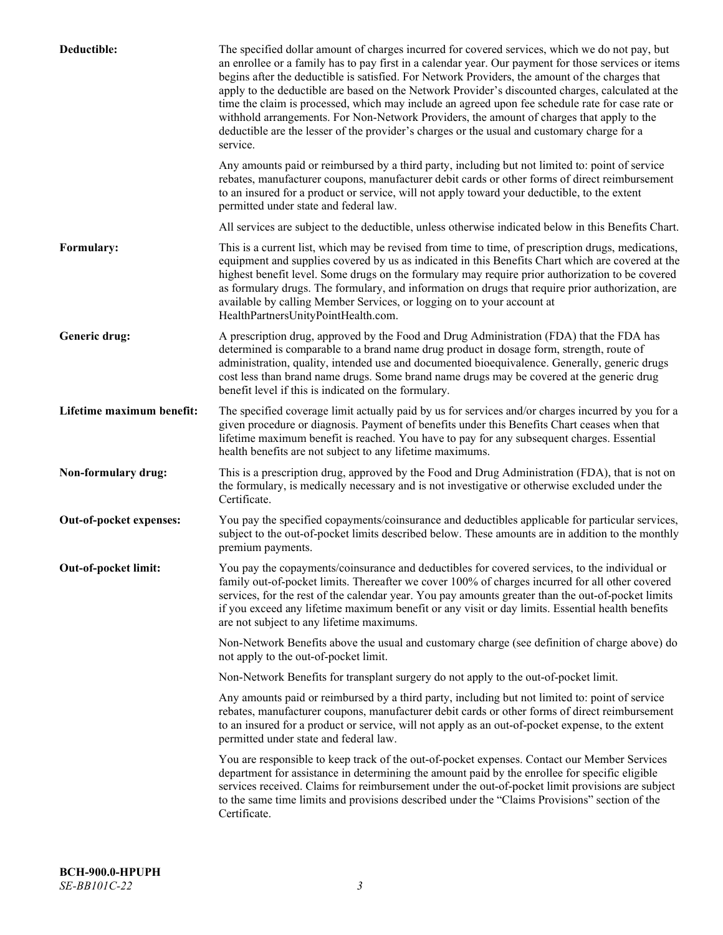| Deductible:               | The specified dollar amount of charges incurred for covered services, which we do not pay, but<br>an enrollee or a family has to pay first in a calendar year. Our payment for those services or items<br>begins after the deductible is satisfied. For Network Providers, the amount of the charges that<br>apply to the deductible are based on the Network Provider's discounted charges, calculated at the<br>time the claim is processed, which may include an agreed upon fee schedule rate for case rate or<br>withhold arrangements. For Non-Network Providers, the amount of charges that apply to the<br>deductible are the lesser of the provider's charges or the usual and customary charge for a<br>service. |
|---------------------------|----------------------------------------------------------------------------------------------------------------------------------------------------------------------------------------------------------------------------------------------------------------------------------------------------------------------------------------------------------------------------------------------------------------------------------------------------------------------------------------------------------------------------------------------------------------------------------------------------------------------------------------------------------------------------------------------------------------------------|
|                           | Any amounts paid or reimbursed by a third party, including but not limited to: point of service<br>rebates, manufacturer coupons, manufacturer debit cards or other forms of direct reimbursement<br>to an insured for a product or service, will not apply toward your deductible, to the extent<br>permitted under state and federal law.                                                                                                                                                                                                                                                                                                                                                                                |
|                           | All services are subject to the deductible, unless otherwise indicated below in this Benefits Chart.                                                                                                                                                                                                                                                                                                                                                                                                                                                                                                                                                                                                                       |
| Formulary:                | This is a current list, which may be revised from time to time, of prescription drugs, medications,<br>equipment and supplies covered by us as indicated in this Benefits Chart which are covered at the<br>highest benefit level. Some drugs on the formulary may require prior authorization to be covered<br>as formulary drugs. The formulary, and information on drugs that require prior authorization, are<br>available by calling Member Services, or logging on to your account at<br>HealthPartnersUnityPointHealth.com.                                                                                                                                                                                         |
| Generic drug:             | A prescription drug, approved by the Food and Drug Administration (FDA) that the FDA has<br>determined is comparable to a brand name drug product in dosage form, strength, route of<br>administration, quality, intended use and documented bioequivalence. Generally, generic drugs<br>cost less than brand name drugs. Some brand name drugs may be covered at the generic drug<br>benefit level if this is indicated on the formulary.                                                                                                                                                                                                                                                                                 |
| Lifetime maximum benefit: | The specified coverage limit actually paid by us for services and/or charges incurred by you for a<br>given procedure or diagnosis. Payment of benefits under this Benefits Chart ceases when that<br>lifetime maximum benefit is reached. You have to pay for any subsequent charges. Essential<br>health benefits are not subject to any lifetime maximums.                                                                                                                                                                                                                                                                                                                                                              |
| Non-formulary drug:       | This is a prescription drug, approved by the Food and Drug Administration (FDA), that is not on<br>the formulary, is medically necessary and is not investigative or otherwise excluded under the<br>Certificate.                                                                                                                                                                                                                                                                                                                                                                                                                                                                                                          |
| Out-of-pocket expenses:   | You pay the specified copayments/coinsurance and deductibles applicable for particular services,<br>subject to the out-of-pocket limits described below. These amounts are in addition to the monthly<br>premium payments.                                                                                                                                                                                                                                                                                                                                                                                                                                                                                                 |
| Out-of-pocket limit:      | You pay the copayments/coinsurance and deductibles for covered services, to the individual or<br>family out-of-pocket limits. Thereafter we cover 100% of charges incurred for all other covered<br>services, for the rest of the calendar year. You pay amounts greater than the out-of-pocket limits<br>if you exceed any lifetime maximum benefit or any visit or day limits. Essential health benefits<br>are not subject to any lifetime maximums.                                                                                                                                                                                                                                                                    |
|                           | Non-Network Benefits above the usual and customary charge (see definition of charge above) do<br>not apply to the out-of-pocket limit.                                                                                                                                                                                                                                                                                                                                                                                                                                                                                                                                                                                     |
|                           | Non-Network Benefits for transplant surgery do not apply to the out-of-pocket limit.                                                                                                                                                                                                                                                                                                                                                                                                                                                                                                                                                                                                                                       |
|                           | Any amounts paid or reimbursed by a third party, including but not limited to: point of service<br>rebates, manufacturer coupons, manufacturer debit cards or other forms of direct reimbursement<br>to an insured for a product or service, will not apply as an out-of-pocket expense, to the extent<br>permitted under state and federal law.                                                                                                                                                                                                                                                                                                                                                                           |
|                           | You are responsible to keep track of the out-of-pocket expenses. Contact our Member Services<br>department for assistance in determining the amount paid by the enrollee for specific eligible<br>services received. Claims for reimbursement under the out-of-pocket limit provisions are subject<br>to the same time limits and provisions described under the "Claims Provisions" section of the<br>Certificate.                                                                                                                                                                                                                                                                                                        |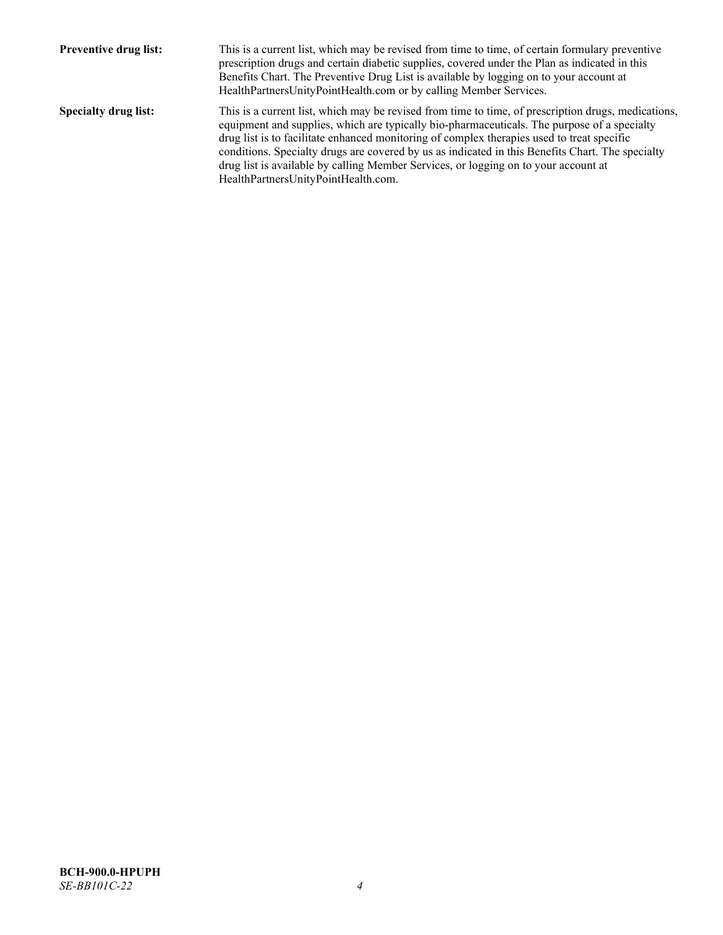| <b>Preventive drug list:</b> | This is a current list, which may be revised from time to time, of certain formulary preventive<br>prescription drugs and certain diabetic supplies, covered under the Plan as indicated in this<br>Benefits Chart. The Preventive Drug List is available by logging on to your account at<br>HealthPartnersUnityPointHealth.com or by calling Member Services.                                                                                                                                                                    |
|------------------------------|------------------------------------------------------------------------------------------------------------------------------------------------------------------------------------------------------------------------------------------------------------------------------------------------------------------------------------------------------------------------------------------------------------------------------------------------------------------------------------------------------------------------------------|
| <b>Specialty drug list:</b>  | This is a current list, which may be revised from time to time, of prescription drugs, medications,<br>equipment and supplies, which are typically bio-pharmaceuticals. The purpose of a specialty<br>drug list is to facilitate enhanced monitoring of complex therapies used to treat specific<br>conditions. Specialty drugs are covered by us as indicated in this Benefits Chart. The specialty<br>drug list is available by calling Member Services, or logging on to your account at<br>HealthPartnersUnityPointHealth.com. |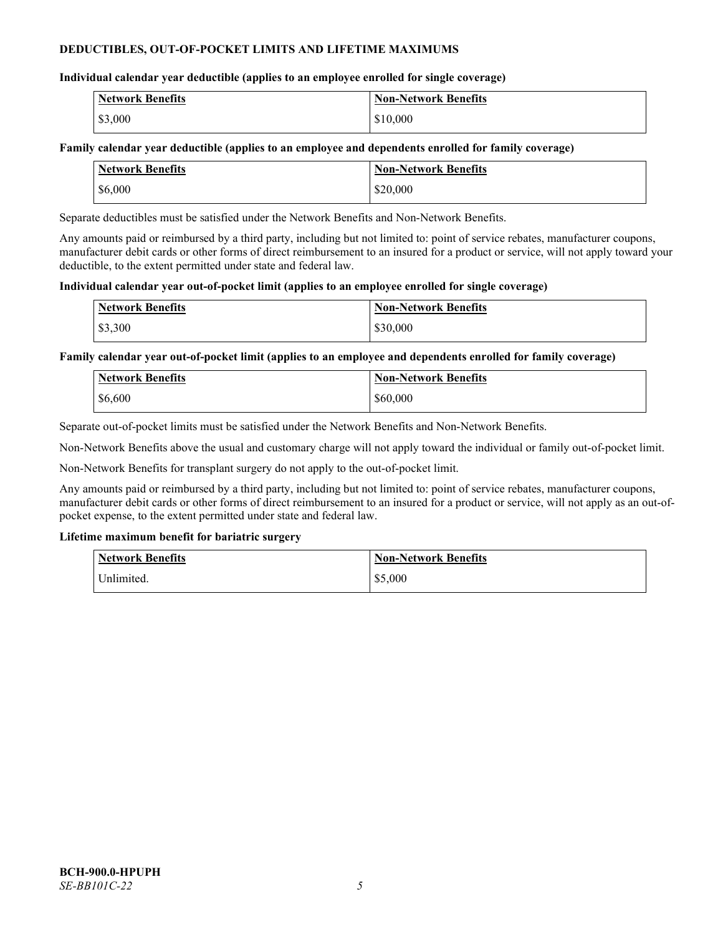# **DEDUCTIBLES, OUT-OF-POCKET LIMITS AND LIFETIME MAXIMUMS**

# **Individual calendar year deductible (applies to an employee enrolled for single coverage)**

| Network Benefits | <b>Non-Network Benefits</b> |
|------------------|-----------------------------|
| \$3,000          | \$10,000                    |

# **Family calendar year deductible (applies to an employee and dependents enrolled for family coverage)**

| <b>Network Benefits</b> | <b>Non-Network Benefits</b> |
|-------------------------|-----------------------------|
| \$6,000                 | \$20,000                    |

Separate deductibles must be satisfied under the Network Benefits and Non-Network Benefits.

Any amounts paid or reimbursed by a third party, including but not limited to: point of service rebates, manufacturer coupons, manufacturer debit cards or other forms of direct reimbursement to an insured for a product or service, will not apply toward your deductible, to the extent permitted under state and federal law.

### **Individual calendar year out-of-pocket limit (applies to an employee enrolled for single coverage)**

|         | <b>Network Benefits</b> | <b>Non-Network Benefits</b> |
|---------|-------------------------|-----------------------------|
| \$3,300 |                         | \$30,000                    |

**Family calendar year out-of-pocket limit (applies to an employee and dependents enrolled for family coverage)**

| <b>Network Benefits</b> | <b>Non-Network Benefits</b> |
|-------------------------|-----------------------------|
| \$6,600                 | \$60,000                    |

Separate out-of-pocket limits must be satisfied under the Network Benefits and Non-Network Benefits.

Non-Network Benefits above the usual and customary charge will not apply toward the individual or family out-of-pocket limit.

Non-Network Benefits for transplant surgery do not apply to the out-of-pocket limit.

Any amounts paid or reimbursed by a third party, including but not limited to: point of service rebates, manufacturer coupons, manufacturer debit cards or other forms of direct reimbursement to an insured for a product or service, will not apply as an out-ofpocket expense, to the extent permitted under state and federal law.

# **Lifetime maximum benefit for bariatric surgery**

| <b>Network Benefits</b> | <b>Non-Network Benefits</b> |
|-------------------------|-----------------------------|
| Unlimited.              | \$5,000                     |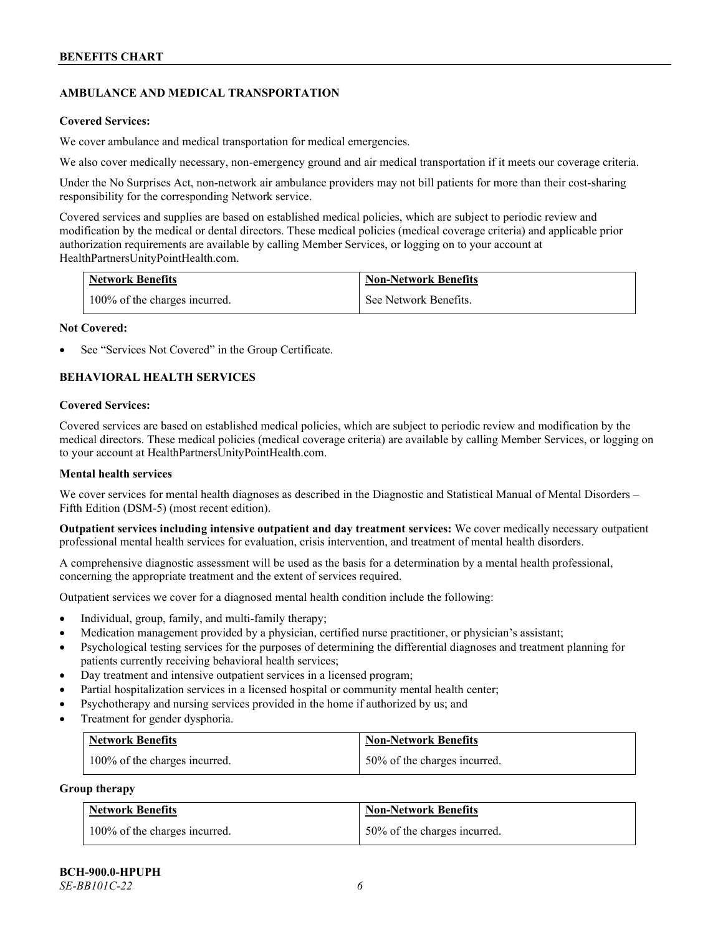# **AMBULANCE AND MEDICAL TRANSPORTATION**

#### **Covered Services:**

We cover ambulance and medical transportation for medical emergencies.

We also cover medically necessary, non-emergency ground and air medical transportation if it meets our coverage criteria.

Under the No Surprises Act, non-network air ambulance providers may not bill patients for more than their cost-sharing responsibility for the corresponding Network service.

Covered services and supplies are based on established medical policies, which are subject to periodic review and modification by the medical or dental directors. These medical policies (medical coverage criteria) and applicable prior authorization requirements are available by calling Member Services, or logging on to your account at [HealthPartnersUnityPointHealth.com.](https://www.healthpartnersunitypointhealth.com/)

| <b>Network Benefits</b>       | <b>Non-Network Benefits</b> |
|-------------------------------|-----------------------------|
| 100% of the charges incurred. | See Network Benefits.       |

#### **Not Covered:**

See "Services Not Covered" in the Group Certificate.

# **BEHAVIORAL HEALTH SERVICES**

#### **Covered Services:**

Covered services are based on established medical policies, which are subject to periodic review and modification by the medical directors. These medical policies (medical coverage criteria) are available by calling Member Services, or logging on to your account at [HealthPartnersUnityPointHealth.com.](https://www.healthpartnersunitypointhealth.com/)

### **Mental health services**

We cover services for mental health diagnoses as described in the Diagnostic and Statistical Manual of Mental Disorders – Fifth Edition (DSM-5) (most recent edition).

**Outpatient services including intensive outpatient and day treatment services:** We cover medically necessary outpatient professional mental health services for evaluation, crisis intervention, and treatment of mental health disorders.

A comprehensive diagnostic assessment will be used as the basis for a determination by a mental health professional, concerning the appropriate treatment and the extent of services required.

Outpatient services we cover for a diagnosed mental health condition include the following:

- Individual, group, family, and multi-family therapy;
- Medication management provided by a physician, certified nurse practitioner, or physician's assistant;
- Psychological testing services for the purposes of determining the differential diagnoses and treatment planning for patients currently receiving behavioral health services;
- Day treatment and intensive outpatient services in a licensed program;
- Partial hospitalization services in a licensed hospital or community mental health center;
- Psychotherapy and nursing services provided in the home if authorized by us; and
- Treatment for gender dysphoria.

| Network Benefits              | <b>Non-Network Benefits</b>  |
|-------------------------------|------------------------------|
| 100% of the charges incurred. | 50% of the charges incurred. |

#### **Group therapy**

| <b>Network Benefits</b>       | <b>Non-Network Benefits</b>  |
|-------------------------------|------------------------------|
| 100% of the charges incurred. | 50% of the charges incurred. |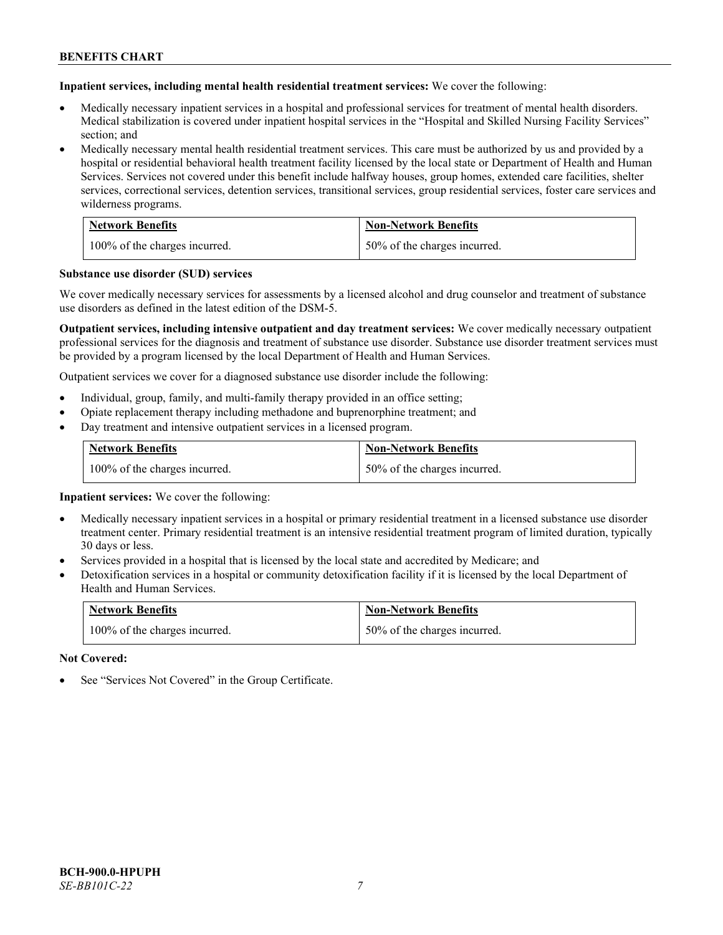**Inpatient services, including mental health residential treatment services:** We cover the following:

- Medically necessary inpatient services in a hospital and professional services for treatment of mental health disorders. Medical stabilization is covered under inpatient hospital services in the "Hospital and Skilled Nursing Facility Services" section; and
- Medically necessary mental health residential treatment services. This care must be authorized by us and provided by a hospital or residential behavioral health treatment facility licensed by the local state or Department of Health and Human Services. Services not covered under this benefit include halfway houses, group homes, extended care facilities, shelter services, correctional services, detention services, transitional services, group residential services, foster care services and wilderness programs.

| <b>Network Benefits</b>       | <b>Non-Network Benefits</b>  |
|-------------------------------|------------------------------|
| 100% of the charges incurred. | 50% of the charges incurred. |

#### **Substance use disorder (SUD) services**

We cover medically necessary services for assessments by a licensed alcohol and drug counselor and treatment of substance use disorders as defined in the latest edition of the DSM-5.

**Outpatient services, including intensive outpatient and day treatment services:** We cover medically necessary outpatient professional services for the diagnosis and treatment of substance use disorder. Substance use disorder treatment services must be provided by a program licensed by the local Department of Health and Human Services.

Outpatient services we cover for a diagnosed substance use disorder include the following:

- Individual, group, family, and multi-family therapy provided in an office setting;
- Opiate replacement therapy including methadone and buprenorphine treatment; and
- Day treatment and intensive outpatient services in a licensed program.

| <b>Network Benefits</b>       | <b>Non-Network Benefits</b>  |
|-------------------------------|------------------------------|
| 100% of the charges incurred. | 50% of the charges incurred. |

**Inpatient services:** We cover the following:

- Medically necessary inpatient services in a hospital or primary residential treatment in a licensed substance use disorder treatment center. Primary residential treatment is an intensive residential treatment program of limited duration, typically 30 days or less.
- Services provided in a hospital that is licensed by the local state and accredited by Medicare; and
- Detoxification services in a hospital or community detoxification facility if it is licensed by the local Department of Health and Human Services.

| <b>Network Benefits</b>       | <b>Non-Network Benefits</b>  |
|-------------------------------|------------------------------|
| 100% of the charges incurred. | 50% of the charges incurred. |

**Not Covered:**

See "Services Not Covered" in the Group Certificate.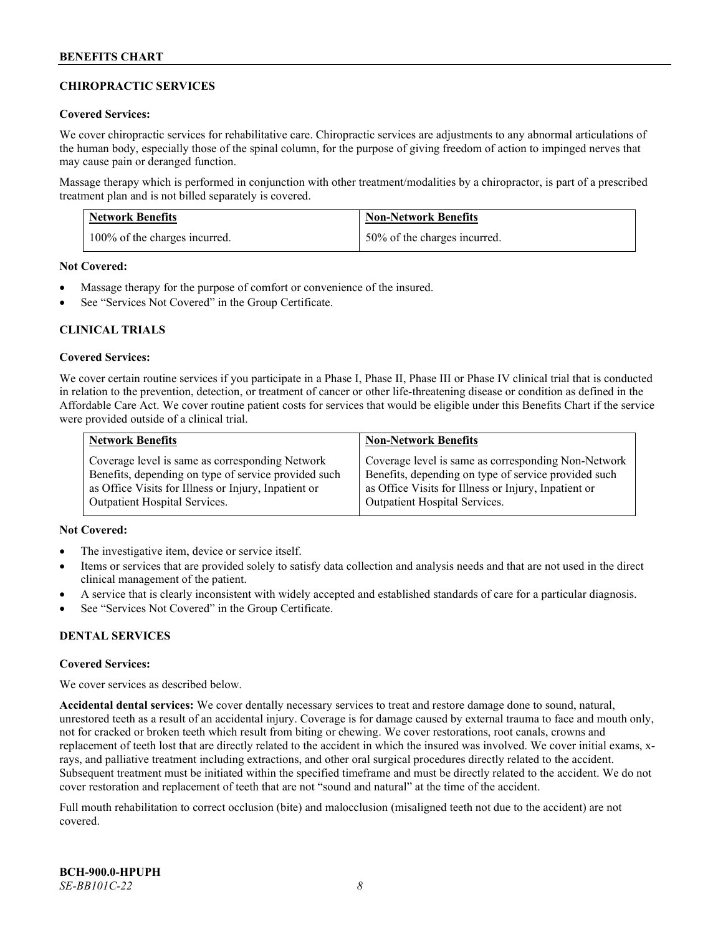# **CHIROPRACTIC SERVICES**

### **Covered Services:**

We cover chiropractic services for rehabilitative care. Chiropractic services are adjustments to any abnormal articulations of the human body, especially those of the spinal column, for the purpose of giving freedom of action to impinged nerves that may cause pain or deranged function.

Massage therapy which is performed in conjunction with other treatment/modalities by a chiropractor, is part of a prescribed treatment plan and is not billed separately is covered.

| <b>Network Benefits</b>       | <b>Non-Network Benefits</b>  |
|-------------------------------|------------------------------|
| 100% of the charges incurred. | 50% of the charges incurred. |

**Not Covered:**

- Massage therapy for the purpose of comfort or convenience of the insured.
- See "Services Not Covered" in the Group Certificate.

# **CLINICAL TRIALS**

#### **Covered Services:**

We cover certain routine services if you participate in a Phase I, Phase II, Phase III or Phase IV clinical trial that is conducted in relation to the prevention, detection, or treatment of cancer or other life-threatening disease or condition as defined in the Affordable Care Act. We cover routine patient costs for services that would be eligible under this Benefits Chart if the service were provided outside of a clinical trial.

| <b>Network Benefits</b>                              | <b>Non-Network Benefits</b>                          |
|------------------------------------------------------|------------------------------------------------------|
| Coverage level is same as corresponding Network      | Coverage level is same as corresponding Non-Network  |
| Benefits, depending on type of service provided such | Benefits, depending on type of service provided such |
| as Office Visits for Illness or Injury, Inpatient or | as Office Visits for Illness or Injury, Inpatient or |
| <b>Outpatient Hospital Services.</b>                 | <b>Outpatient Hospital Services.</b>                 |

# **Not Covered:**

- The investigative item, device or service itself.
- Items or services that are provided solely to satisfy data collection and analysis needs and that are not used in the direct clinical management of the patient.
- A service that is clearly inconsistent with widely accepted and established standards of care for a particular diagnosis.
- See "Services Not Covered" in the Group Certificate.

# **DENTAL SERVICES**

#### **Covered Services:**

We cover services as described below.

**Accidental dental services:** We cover dentally necessary services to treat and restore damage done to sound, natural, unrestored teeth as a result of an accidental injury. Coverage is for damage caused by external trauma to face and mouth only, not for cracked or broken teeth which result from biting or chewing. We cover restorations, root canals, crowns and replacement of teeth lost that are directly related to the accident in which the insured was involved. We cover initial exams, xrays, and palliative treatment including extractions, and other oral surgical procedures directly related to the accident. Subsequent treatment must be initiated within the specified timeframe and must be directly related to the accident. We do not cover restoration and replacement of teeth that are not "sound and natural" at the time of the accident.

Full mouth rehabilitation to correct occlusion (bite) and malocclusion (misaligned teeth not due to the accident) are not covered.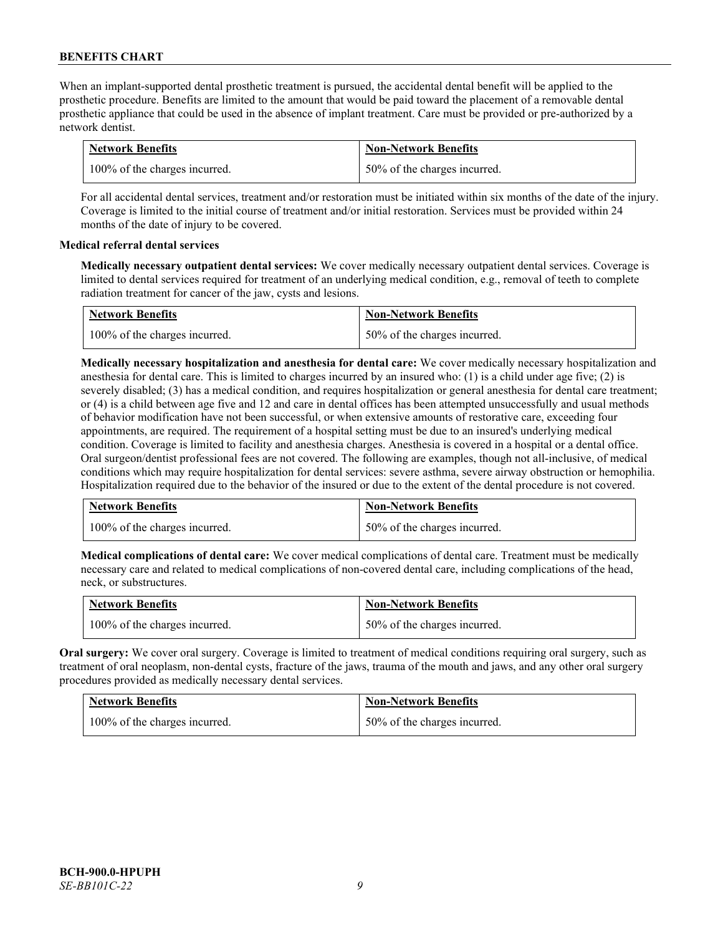When an implant-supported dental prosthetic treatment is pursued, the accidental dental benefit will be applied to the prosthetic procedure. Benefits are limited to the amount that would be paid toward the placement of a removable dental prosthetic appliance that could be used in the absence of implant treatment. Care must be provided or pre-authorized by a network dentist.

| <b>Network Benefits</b>       | <b>Non-Network Benefits</b>  |
|-------------------------------|------------------------------|
| 100% of the charges incurred. | 50% of the charges incurred. |

For all accidental dental services, treatment and/or restoration must be initiated within six months of the date of the injury. Coverage is limited to the initial course of treatment and/or initial restoration. Services must be provided within 24 months of the date of injury to be covered.

# **Medical referral dental services**

**Medically necessary outpatient dental services:** We cover medically necessary outpatient dental services. Coverage is limited to dental services required for treatment of an underlying medical condition, e.g., removal of teeth to complete radiation treatment for cancer of the jaw, cysts and lesions.

| <b>Network Benefits</b>       | <b>Non-Network Benefits</b>  |
|-------------------------------|------------------------------|
| 100% of the charges incurred. | 50% of the charges incurred. |

**Medically necessary hospitalization and anesthesia for dental care:** We cover medically necessary hospitalization and anesthesia for dental care. This is limited to charges incurred by an insured who: (1) is a child under age five; (2) is severely disabled; (3) has a medical condition, and requires hospitalization or general anesthesia for dental care treatment; or (4) is a child between age five and 12 and care in dental offices has been attempted unsuccessfully and usual methods of behavior modification have not been successful, or when extensive amounts of restorative care, exceeding four appointments, are required. The requirement of a hospital setting must be due to an insured's underlying medical condition. Coverage is limited to facility and anesthesia charges. Anesthesia is covered in a hospital or a dental office. Oral surgeon/dentist professional fees are not covered. The following are examples, though not all-inclusive, of medical conditions which may require hospitalization for dental services: severe asthma, severe airway obstruction or hemophilia. Hospitalization required due to the behavior of the insured or due to the extent of the dental procedure is not covered.

| <b>Network Benefits</b>       | <b>Non-Network Benefits</b>  |
|-------------------------------|------------------------------|
| 100% of the charges incurred. | 50% of the charges incurred. |

**Medical complications of dental care:** We cover medical complications of dental care. Treatment must be medically necessary care and related to medical complications of non-covered dental care, including complications of the head, neck, or substructures.

| <b>Network Benefits</b>       | <b>Non-Network Benefits</b>  |
|-------------------------------|------------------------------|
| 100% of the charges incurred. | 50% of the charges incurred. |

**Oral surgery:** We cover oral surgery. Coverage is limited to treatment of medical conditions requiring oral surgery, such as treatment of oral neoplasm, non-dental cysts, fracture of the jaws, trauma of the mouth and jaws, and any other oral surgery procedures provided as medically necessary dental services.

| <b>Network Benefits</b>       | <b>Non-Network Benefits</b>  |
|-------------------------------|------------------------------|
| 100% of the charges incurred. | 50% of the charges incurred. |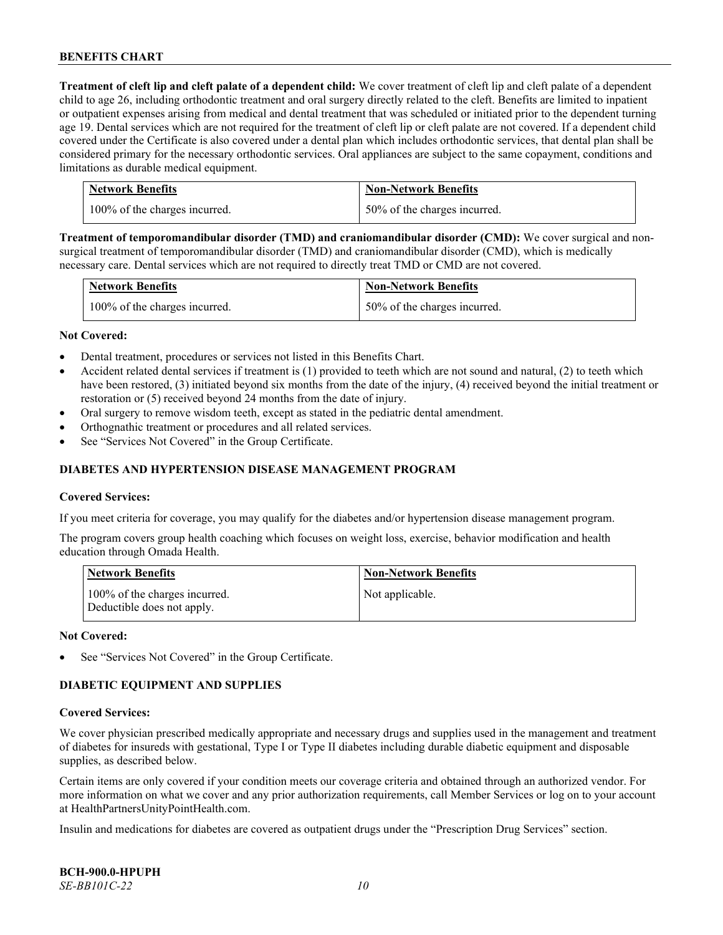**Treatment of cleft lip and cleft palate of a dependent child:** We cover treatment of cleft lip and cleft palate of a dependent child to age 26, including orthodontic treatment and oral surgery directly related to the cleft. Benefits are limited to inpatient or outpatient expenses arising from medical and dental treatment that was scheduled or initiated prior to the dependent turning age 19. Dental services which are not required for the treatment of cleft lip or cleft palate are not covered. If a dependent child covered under the Certificate is also covered under a dental plan which includes orthodontic services, that dental plan shall be considered primary for the necessary orthodontic services. Oral appliances are subject to the same copayment, conditions and limitations as durable medical equipment.

| <b>Network Benefits</b>       | <b>Non-Network Benefits</b>  |
|-------------------------------|------------------------------|
| 100% of the charges incurred. | 50% of the charges incurred. |

**Treatment of temporomandibular disorder (TMD) and craniomandibular disorder (CMD):** We cover surgical and nonsurgical treatment of temporomandibular disorder (TMD) and craniomandibular disorder (CMD), which is medically necessary care. Dental services which are not required to directly treat TMD or CMD are not covered.

| <b>Network Benefits</b>       | <b>Non-Network Benefits</b>  |
|-------------------------------|------------------------------|
| 100% of the charges incurred. | 50% of the charges incurred. |

#### **Not Covered:**

- Dental treatment, procedures or services not listed in this Benefits Chart.
- Accident related dental services if treatment is (1) provided to teeth which are not sound and natural, (2) to teeth which have been restored, (3) initiated beyond six months from the date of the injury, (4) received beyond the initial treatment or restoration or (5) received beyond 24 months from the date of injury.
- Oral surgery to remove wisdom teeth, except as stated in the pediatric dental amendment.
- Orthognathic treatment or procedures and all related services.
- See "Services Not Covered" in the Group Certificate.

### **DIABETES AND HYPERTENSION DISEASE MANAGEMENT PROGRAM**

#### **Covered Services:**

If you meet criteria for coverage, you may qualify for the diabetes and/or hypertension disease management program.

The program covers group health coaching which focuses on weight loss, exercise, behavior modification and health education through Omada Health.

| <b>Network Benefits</b>                                     | <b>Non-Network Benefits</b> |
|-------------------------------------------------------------|-----------------------------|
| 100% of the charges incurred.<br>Deductible does not apply. | Not applicable.             |

#### **Not Covered:**

See "Services Not Covered" in the Group Certificate.

# **DIABETIC EQUIPMENT AND SUPPLIES**

#### **Covered Services:**

We cover physician prescribed medically appropriate and necessary drugs and supplies used in the management and treatment of diabetes for insureds with gestational, Type I or Type II diabetes including durable diabetic equipment and disposable supplies, as described below.

Certain items are only covered if your condition meets our coverage criteria and obtained through an authorized vendor. For more information on what we cover and any prior authorization requirements, call Member Services or log on to your account at [HealthPartnersUnityPointHealth.com.](https://www.healthpartnersunitypointhealth.com/)

Insulin and medications for diabetes are covered as outpatient drugs under the "Prescription Drug Services" section.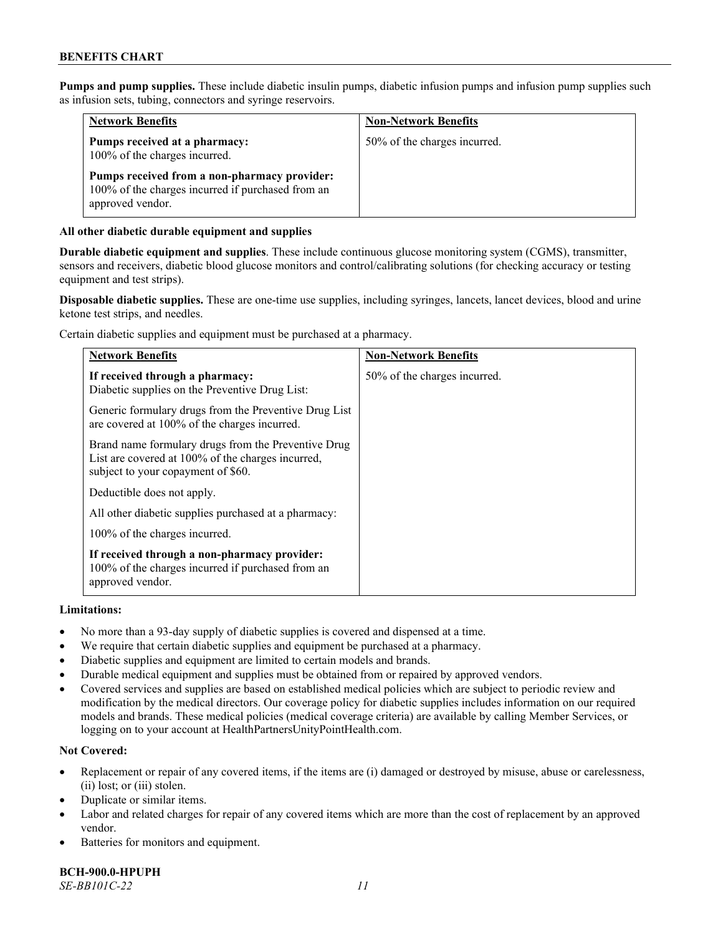**Pumps and pump supplies.** These include diabetic insulin pumps, diabetic infusion pumps and infusion pump supplies such as infusion sets, tubing, connectors and syringe reservoirs.

| <b>Network Benefits</b>                                                                                               | <b>Non-Network Benefits</b>  |
|-----------------------------------------------------------------------------------------------------------------------|------------------------------|
| Pumps received at a pharmacy:<br>100% of the charges incurred.                                                        | 50% of the charges incurred. |
| Pumps received from a non-pharmacy provider:<br>100% of the charges incurred if purchased from an<br>approved vendor. |                              |

# **All other diabetic durable equipment and supplies**

**Durable diabetic equipment and supplies**. These include continuous glucose monitoring system (CGMS), transmitter, sensors and receivers, diabetic blood glucose monitors and control/calibrating solutions (for checking accuracy or testing equipment and test strips).

**Disposable diabetic supplies.** These are one-time use supplies, including syringes, lancets, lancet devices, blood and urine ketone test strips, and needles.

Certain diabetic supplies and equipment must be purchased at a pharmacy.

| <b>Network Benefits</b>                                                                                                                        | <b>Non-Network Benefits</b>  |
|------------------------------------------------------------------------------------------------------------------------------------------------|------------------------------|
| If received through a pharmacy:<br>Diabetic supplies on the Preventive Drug List:                                                              | 50% of the charges incurred. |
| Generic formulary drugs from the Preventive Drug List<br>are covered at 100% of the charges incurred.                                          |                              |
| Brand name formulary drugs from the Preventive Drug<br>List are covered at 100% of the charges incurred,<br>subject to your copayment of \$60. |                              |
| Deductible does not apply.                                                                                                                     |                              |
| All other diabetic supplies purchased at a pharmacy:                                                                                           |                              |
| 100% of the charges incurred.                                                                                                                  |                              |
| If received through a non-pharmacy provider:<br>100% of the charges incurred if purchased from an<br>approved vendor.                          |                              |

#### **Limitations:**

- No more than a 93-day supply of diabetic supplies is covered and dispensed at a time.
- We require that certain diabetic supplies and equipment be purchased at a pharmacy.
- Diabetic supplies and equipment are limited to certain models and brands.
- Durable medical equipment and supplies must be obtained from or repaired by approved vendors.
- Covered services and supplies are based on established medical policies which are subject to periodic review and modification by the medical directors. Our coverage policy for diabetic supplies includes information on our required models and brands. These medical policies (medical coverage criteria) are available by calling Member Services, or logging on to your account a[t HealthPartnersUnityPointHealth.com.](https://www.healthpartnersunitypointhealth.com/)

# **Not Covered:**

- Replacement or repair of any covered items, if the items are (i) damaged or destroyed by misuse, abuse or carelessness, (ii) lost; or (iii) stolen.
- Duplicate or similar items.
- Labor and related charges for repair of any covered items which are more than the cost of replacement by an approved vendor.
- Batteries for monitors and equipment.

**BCH-900.0-HPUPH** *SE-BB101C-22 11*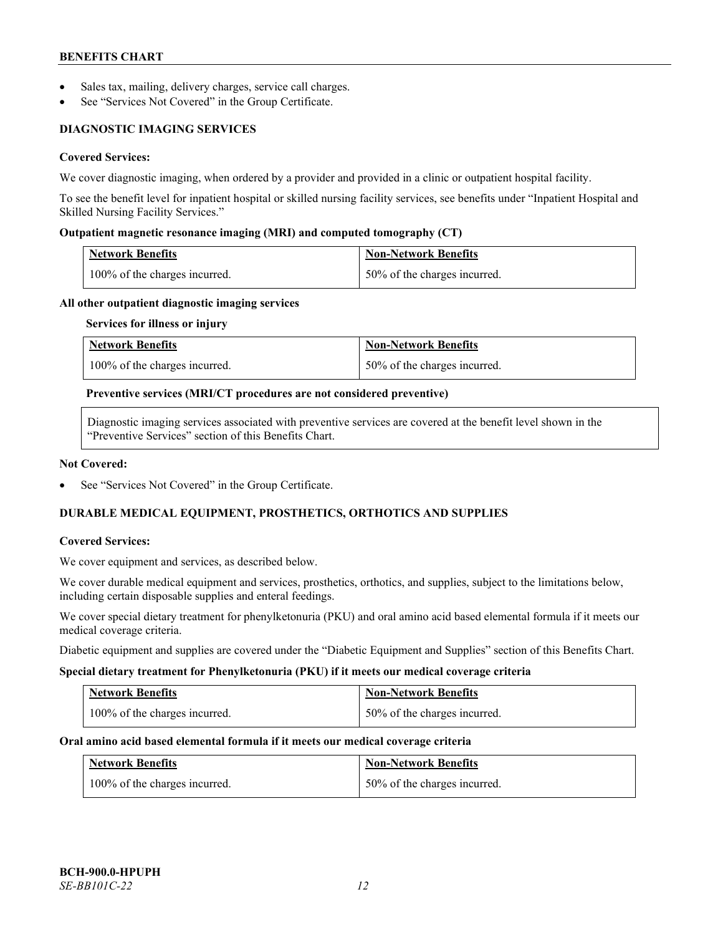- Sales tax, mailing, delivery charges, service call charges.
- See "Services Not Covered" in the Group Certificate.

# **DIAGNOSTIC IMAGING SERVICES**

# **Covered Services:**

We cover diagnostic imaging, when ordered by a provider and provided in a clinic or outpatient hospital facility.

To see the benefit level for inpatient hospital or skilled nursing facility services, see benefits under "Inpatient Hospital and Skilled Nursing Facility Services."

### **Outpatient magnetic resonance imaging (MRI) and computed tomography (CT)**

| Network Benefits                 | Non-Network Benefits         |
|----------------------------------|------------------------------|
| $100\%$ of the charges incurred. | 50% of the charges incurred. |

#### **All other outpatient diagnostic imaging services**

#### **Services for illness or injury**

| <b>Network Benefits</b>       | <b>Non-Network Benefits</b>  |
|-------------------------------|------------------------------|
| 100% of the charges incurred. | 50% of the charges incurred. |

#### **Preventive services (MRI/CT procedures are not considered preventive)**

Diagnostic imaging services associated with preventive services are covered at the benefit level shown in the "Preventive Services" section of this Benefits Chart.

#### **Not Covered:**

See "Services Not Covered" in the Group Certificate.

# **DURABLE MEDICAL EQUIPMENT, PROSTHETICS, ORTHOTICS AND SUPPLIES**

#### **Covered Services:**

We cover equipment and services, as described below.

We cover durable medical equipment and services, prosthetics, orthotics, and supplies, subject to the limitations below, including certain disposable supplies and enteral feedings.

We cover special dietary treatment for phenylketonuria (PKU) and oral amino acid based elemental formula if it meets our medical coverage criteria.

Diabetic equipment and supplies are covered under the "Diabetic Equipment and Supplies" section of this Benefits Chart.

#### **Special dietary treatment for Phenylketonuria (PKU) if it meets our medical coverage criteria**

| <b>Network Benefits</b>       | Non-Network Benefits           |
|-------------------------------|--------------------------------|
| 100% of the charges incurred. | 1 50% of the charges incurred. |

#### **Oral amino acid based elemental formula if it meets our medical coverage criteria**

| <b>Network Benefits</b>       | <b>Non-Network Benefits</b>  |
|-------------------------------|------------------------------|
| 100% of the charges incurred. | 50% of the charges incurred. |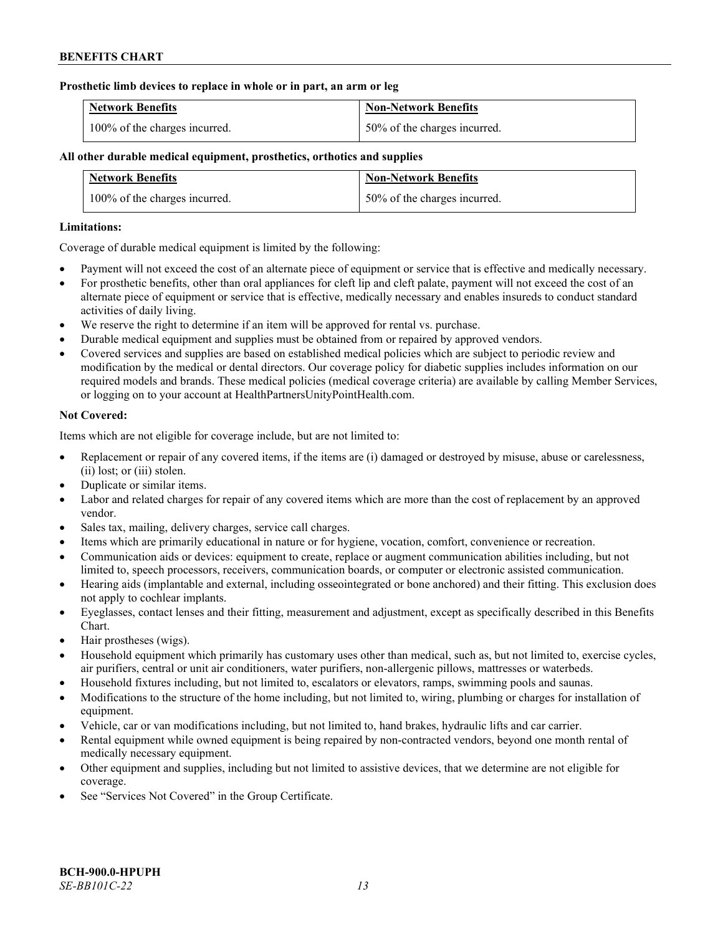#### **Prosthetic limb devices to replace in whole or in part, an arm or leg**

| <b>Network Benefits</b>       | <b>Non-Network Benefits</b>  |
|-------------------------------|------------------------------|
| 100% of the charges incurred. | 50% of the charges incurred. |

# **All other durable medical equipment, prosthetics, orthotics and supplies**

| <b>Network Benefits</b>       | <b>Non-Network Benefits</b>  |
|-------------------------------|------------------------------|
| 100% of the charges incurred. | 50% of the charges incurred. |

### **Limitations:**

Coverage of durable medical equipment is limited by the following:

- Payment will not exceed the cost of an alternate piece of equipment or service that is effective and medically necessary.
- For prosthetic benefits, other than oral appliances for cleft lip and cleft palate, payment will not exceed the cost of an alternate piece of equipment or service that is effective, medically necessary and enables insureds to conduct standard activities of daily living.
- We reserve the right to determine if an item will be approved for rental vs. purchase.
- Durable medical equipment and supplies must be obtained from or repaired by approved vendors.
- Covered services and supplies are based on established medical policies which are subject to periodic review and modification by the medical or dental directors. Our coverage policy for diabetic supplies includes information on our required models and brands. These medical policies (medical coverage criteria) are available by calling Member Services, or logging on to your account at [HealthPartnersUnityPointHealth.com.](https://www.healthpartnersunitypointhealth.com/)

# **Not Covered:**

Items which are not eligible for coverage include, but are not limited to:

- Replacement or repair of any covered items, if the items are (i) damaged or destroyed by misuse, abuse or carelessness, (ii) lost; or (iii) stolen.
- Duplicate or similar items.
- Labor and related charges for repair of any covered items which are more than the cost of replacement by an approved vendor.
- Sales tax, mailing, delivery charges, service call charges.
- Items which are primarily educational in nature or for hygiene, vocation, comfort, convenience or recreation.
- Communication aids or devices: equipment to create, replace or augment communication abilities including, but not limited to, speech processors, receivers, communication boards, or computer or electronic assisted communication.
- Hearing aids (implantable and external, including osseointegrated or bone anchored) and their fitting. This exclusion does not apply to cochlear implants.
- Eyeglasses, contact lenses and their fitting, measurement and adjustment, except as specifically described in this Benefits Chart.
- Hair prostheses (wigs).
- Household equipment which primarily has customary uses other than medical, such as, but not limited to, exercise cycles, air purifiers, central or unit air conditioners, water purifiers, non-allergenic pillows, mattresses or waterbeds.
- Household fixtures including, but not limited to, escalators or elevators, ramps, swimming pools and saunas.
- Modifications to the structure of the home including, but not limited to, wiring, plumbing or charges for installation of equipment.
- Vehicle, car or van modifications including, but not limited to, hand brakes, hydraulic lifts and car carrier.
- Rental equipment while owned equipment is being repaired by non-contracted vendors, beyond one month rental of medically necessary equipment.
- Other equipment and supplies, including but not limited to assistive devices, that we determine are not eligible for coverage.
- See "Services Not Covered" in the Group Certificate.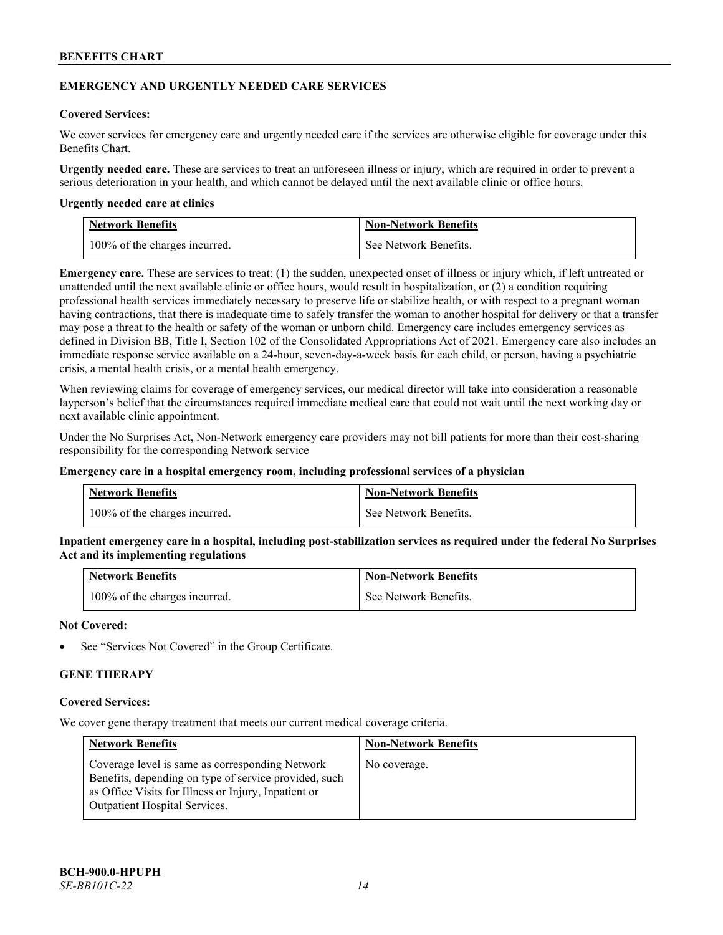### **EMERGENCY AND URGENTLY NEEDED CARE SERVICES**

### **Covered Services:**

We cover services for emergency care and urgently needed care if the services are otherwise eligible for coverage under this Benefits Chart.

**Urgently needed care.** These are services to treat an unforeseen illness or injury, which are required in order to prevent a serious deterioration in your health, and which cannot be delayed until the next available clinic or office hours.

#### **Urgently needed care at clinics**

| <b>Network Benefits</b>       | <b>Non-Network Benefits</b> |
|-------------------------------|-----------------------------|
| 100% of the charges incurred. | See Network Benefits.       |

**Emergency care.** These are services to treat: (1) the sudden, unexpected onset of illness or injury which, if left untreated or unattended until the next available clinic or office hours, would result in hospitalization, or (2) a condition requiring professional health services immediately necessary to preserve life or stabilize health, or with respect to a pregnant woman having contractions, that there is inadequate time to safely transfer the woman to another hospital for delivery or that a transfer may pose a threat to the health or safety of the woman or unborn child. Emergency care includes emergency services as defined in Division BB, Title I, Section 102 of the Consolidated Appropriations Act of 2021. Emergency care also includes an immediate response service available on a 24-hour, seven-day-a-week basis for each child, or person, having a psychiatric crisis, a mental health crisis, or a mental health emergency.

When reviewing claims for coverage of emergency services, our medical director will take into consideration a reasonable layperson's belief that the circumstances required immediate medical care that could not wait until the next working day or next available clinic appointment.

Under the No Surprises Act, Non-Network emergency care providers may not bill patients for more than their cost-sharing responsibility for the corresponding Network service

#### **Emergency care in a hospital emergency room, including professional services of a physician**

| <b>Network Benefits</b>       | <b>Non-Network Benefits</b> |
|-------------------------------|-----------------------------|
| 100% of the charges incurred. | See Network Benefits.       |

**Inpatient emergency care in a hospital, including post-stabilization services as required under the federal No Surprises Act and its implementing regulations**

| <b>Network Benefits</b>       | <b>Non-Network Benefits</b> |
|-------------------------------|-----------------------------|
| 100% of the charges incurred. | See Network Benefits.       |

#### **Not Covered:**

See "Services Not Covered" in the Group Certificate.

# **GENE THERAPY**

#### **Covered Services:**

We cover gene therapy treatment that meets our current medical coverage criteria.

| <b>Network Benefits</b>                                                                                                                                                                                  | <b>Non-Network Benefits</b> |
|----------------------------------------------------------------------------------------------------------------------------------------------------------------------------------------------------------|-----------------------------|
| Coverage level is same as corresponding Network<br>Benefits, depending on type of service provided, such<br>as Office Visits for Illness or Injury, Inpatient or<br><b>Outpatient Hospital Services.</b> | No coverage.                |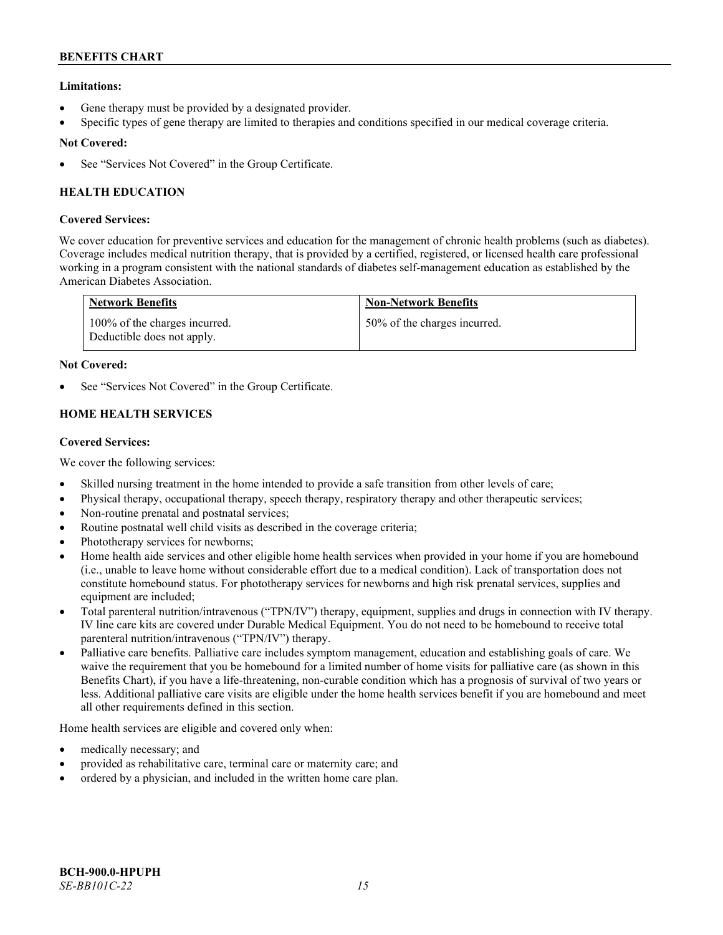# **Limitations:**

- Gene therapy must be provided by a designated provider.
- Specific types of gene therapy are limited to therapies and conditions specified in our medical coverage criteria.

# **Not Covered:**

See "Services Not Covered" in the Group Certificate.

# **HEALTH EDUCATION**

# **Covered Services:**

We cover education for preventive services and education for the management of chronic health problems (such as diabetes). Coverage includes medical nutrition therapy, that is provided by a certified, registered, or licensed health care professional working in a program consistent with the national standards of diabetes self-management education as established by the American Diabetes Association.

| <b>Network Benefits</b>                                     | <b>Non-Network Benefits</b>  |
|-------------------------------------------------------------|------------------------------|
| 100% of the charges incurred.<br>Deductible does not apply. | 50% of the charges incurred. |

# **Not Covered:**

See "Services Not Covered" in the Group Certificate.

# **HOME HEALTH SERVICES**

# **Covered Services:**

We cover the following services:

- Skilled nursing treatment in the home intended to provide a safe transition from other levels of care;
- Physical therapy, occupational therapy, speech therapy, respiratory therapy and other therapeutic services;
- Non-routine prenatal and postnatal services;
- Routine postnatal well child visits as described in the coverage criteria;
- Phototherapy services for newborns;
- Home health aide services and other eligible home health services when provided in your home if you are homebound (i.e., unable to leave home without considerable effort due to a medical condition). Lack of transportation does not constitute homebound status. For phototherapy services for newborns and high risk prenatal services, supplies and equipment are included;
- Total parenteral nutrition/intravenous ("TPN/IV") therapy, equipment, supplies and drugs in connection with IV therapy. IV line care kits are covered under Durable Medical Equipment. You do not need to be homebound to receive total parenteral nutrition/intravenous ("TPN/IV") therapy.
- Palliative care benefits. Palliative care includes symptom management, education and establishing goals of care. We waive the requirement that you be homebound for a limited number of home visits for palliative care (as shown in this Benefits Chart), if you have a life-threatening, non-curable condition which has a prognosis of survival of two years or less. Additional palliative care visits are eligible under the home health services benefit if you are homebound and meet all other requirements defined in this section.

Home health services are eligible and covered only when:

- medically necessary; and
- provided as rehabilitative care, terminal care or maternity care; and
- ordered by a physician, and included in the written home care plan.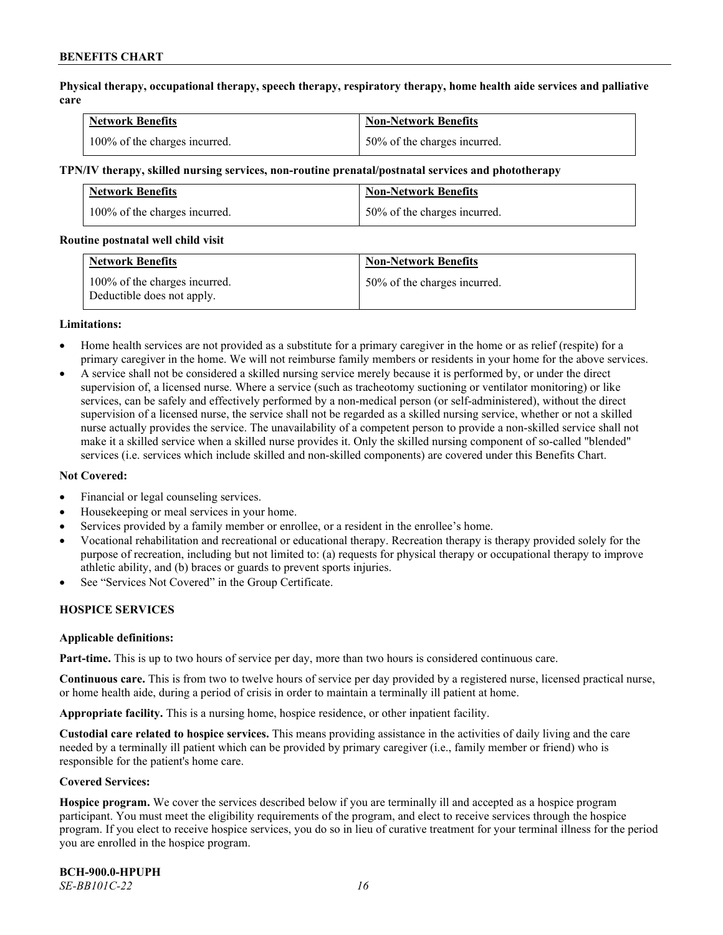**Physical therapy, occupational therapy, speech therapy, respiratory therapy, home health aide services and palliative care**

| <b>Network Benefits</b>       | <b>Non-Network Benefits</b>      |
|-------------------------------|----------------------------------|
| 100% of the charges incurred. | $150\%$ of the charges incurred. |

#### **TPN/IV therapy, skilled nursing services, non-routine prenatal/postnatal services and phototherapy**

| Network Benefits              | <b>Non-Network Benefits</b>  |
|-------------------------------|------------------------------|
| 100% of the charges incurred. | 50% of the charges incurred. |

#### **Routine postnatal well child visit**

| <b>Network Benefits</b>                                     | <b>Non-Network Benefits</b>  |
|-------------------------------------------------------------|------------------------------|
| 100% of the charges incurred.<br>Deductible does not apply. | 50% of the charges incurred. |

#### **Limitations:**

- Home health services are not provided as a substitute for a primary caregiver in the home or as relief (respite) for a primary caregiver in the home. We will not reimburse family members or residents in your home for the above services.
- A service shall not be considered a skilled nursing service merely because it is performed by, or under the direct supervision of, a licensed nurse. Where a service (such as tracheotomy suctioning or ventilator monitoring) or like services, can be safely and effectively performed by a non-medical person (or self-administered), without the direct supervision of a licensed nurse, the service shall not be regarded as a skilled nursing service, whether or not a skilled nurse actually provides the service. The unavailability of a competent person to provide a non-skilled service shall not make it a skilled service when a skilled nurse provides it. Only the skilled nursing component of so-called "blended" services (i.e. services which include skilled and non-skilled components) are covered under this Benefits Chart.

#### **Not Covered:**

- Financial or legal counseling services.
- Housekeeping or meal services in your home.
- Services provided by a family member or enrollee, or a resident in the enrollee's home.
- Vocational rehabilitation and recreational or educational therapy. Recreation therapy is therapy provided solely for the purpose of recreation, including but not limited to: (a) requests for physical therapy or occupational therapy to improve athletic ability, and (b) braces or guards to prevent sports injuries.
- See "Services Not Covered" in the Group Certificate.

# **HOSPICE SERVICES**

#### **Applicable definitions:**

**Part-time.** This is up to two hours of service per day, more than two hours is considered continuous care.

**Continuous care.** This is from two to twelve hours of service per day provided by a registered nurse, licensed practical nurse, or home health aide, during a period of crisis in order to maintain a terminally ill patient at home.

**Appropriate facility.** This is a nursing home, hospice residence, or other inpatient facility.

**Custodial care related to hospice services.** This means providing assistance in the activities of daily living and the care needed by a terminally ill patient which can be provided by primary caregiver (i.e., family member or friend) who is responsible for the patient's home care.

#### **Covered Services:**

**Hospice program.** We cover the services described below if you are terminally ill and accepted as a hospice program participant. You must meet the eligibility requirements of the program, and elect to receive services through the hospice program. If you elect to receive hospice services, you do so in lieu of curative treatment for your terminal illness for the period you are enrolled in the hospice program.

**BCH-900.0-HPUPH** *SE-BB101C-22 16*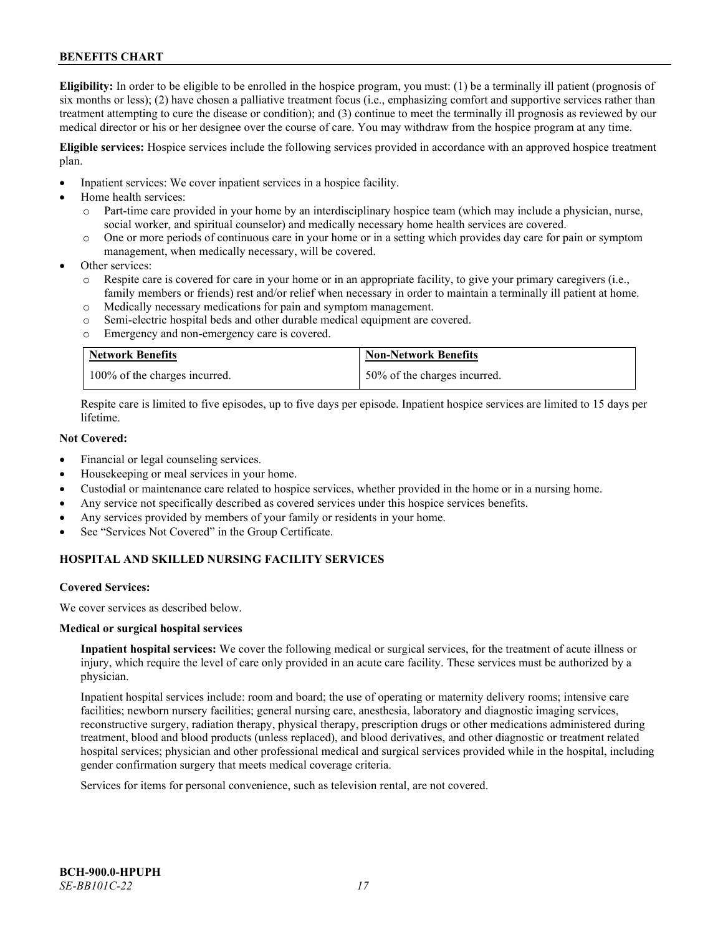**Eligibility:** In order to be eligible to be enrolled in the hospice program, you must: (1) be a terminally ill patient (prognosis of six months or less); (2) have chosen a palliative treatment focus (i.e., emphasizing comfort and supportive services rather than treatment attempting to cure the disease or condition); and (3) continue to meet the terminally ill prognosis as reviewed by our medical director or his or her designee over the course of care. You may withdraw from the hospice program at any time.

**Eligible services:** Hospice services include the following services provided in accordance with an approved hospice treatment plan.

- Inpatient services: We cover inpatient services in a hospice facility.
- Home health services:
	- o Part-time care provided in your home by an interdisciplinary hospice team (which may include a physician, nurse, social worker, and spiritual counselor) and medically necessary home health services are covered.
	- o One or more periods of continuous care in your home or in a setting which provides day care for pain or symptom management, when medically necessary, will be covered.
- Other services:
	- Respite care is covered for care in your home or in an appropriate facility, to give your primary caregivers (i.e., family members or friends) rest and/or relief when necessary in order to maintain a terminally ill patient at home.
	- o Medically necessary medications for pain and symptom management.
	- o Semi-electric hospital beds and other durable medical equipment are covered.
	- o Emergency and non-emergency care is covered.

| <b>Network Benefits</b>       | <b>Non-Network Benefits</b>  |
|-------------------------------|------------------------------|
| 100% of the charges incurred. | 50% of the charges incurred. |

Respite care is limited to five episodes, up to five days per episode. Inpatient hospice services are limited to 15 days per lifetime.

# **Not Covered:**

- Financial or legal counseling services.
- Housekeeping or meal services in your home.
- Custodial or maintenance care related to hospice services, whether provided in the home or in a nursing home.
- Any service not specifically described as covered services under this hospice services benefits.
- Any services provided by members of your family or residents in your home.
- See "Services Not Covered" in the Group Certificate.

# **HOSPITAL AND SKILLED NURSING FACILITY SERVICES**

#### **Covered Services:**

We cover services as described below.

#### **Medical or surgical hospital services**

**Inpatient hospital services:** We cover the following medical or surgical services, for the treatment of acute illness or injury, which require the level of care only provided in an acute care facility. These services must be authorized by a physician.

Inpatient hospital services include: room and board; the use of operating or maternity delivery rooms; intensive care facilities; newborn nursery facilities; general nursing care, anesthesia, laboratory and diagnostic imaging services, reconstructive surgery, radiation therapy, physical therapy, prescription drugs or other medications administered during treatment, blood and blood products (unless replaced), and blood derivatives, and other diagnostic or treatment related hospital services; physician and other professional medical and surgical services provided while in the hospital, including gender confirmation surgery that meets medical coverage criteria.

Services for items for personal convenience, such as television rental, are not covered.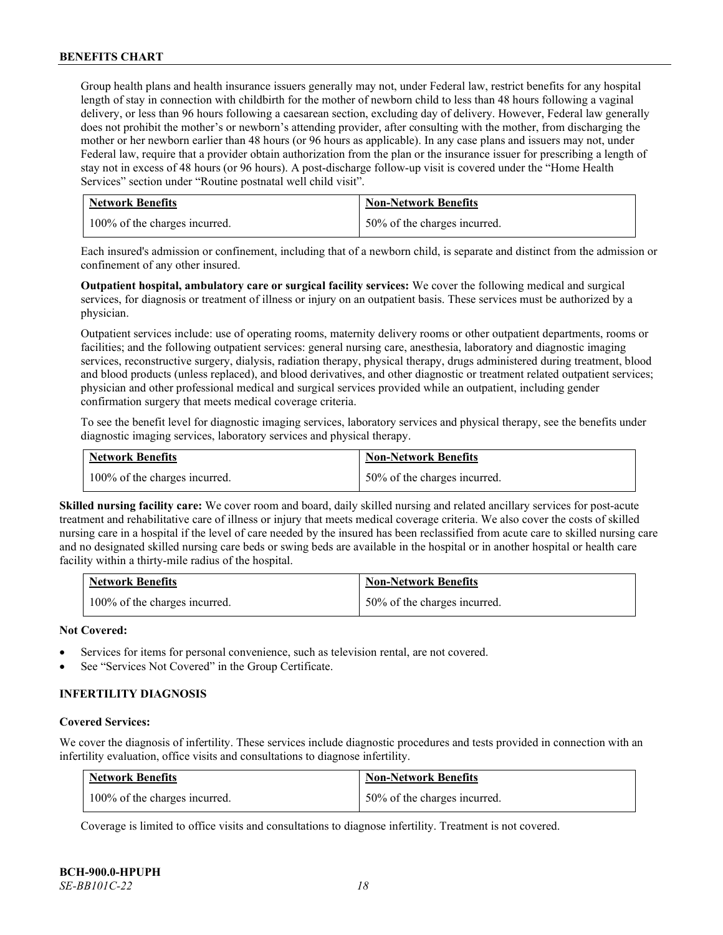Group health plans and health insurance issuers generally may not, under Federal law, restrict benefits for any hospital length of stay in connection with childbirth for the mother of newborn child to less than 48 hours following a vaginal delivery, or less than 96 hours following a caesarean section, excluding day of delivery. However, Federal law generally does not prohibit the mother's or newborn's attending provider, after consulting with the mother, from discharging the mother or her newborn earlier than 48 hours (or 96 hours as applicable). In any case plans and issuers may not, under Federal law, require that a provider obtain authorization from the plan or the insurance issuer for prescribing a length of stay not in excess of 48 hours (or 96 hours). A post-discharge follow-up visit is covered under the "Home Health Services" section under "Routine postnatal well child visit".

| <b>Network Benefits</b>       | <b>Non-Network Benefits</b>  |
|-------------------------------|------------------------------|
| 100% of the charges incurred. | 50% of the charges incurred. |

Each insured's admission or confinement, including that of a newborn child, is separate and distinct from the admission or confinement of any other insured.

**Outpatient hospital, ambulatory care or surgical facility services:** We cover the following medical and surgical services, for diagnosis or treatment of illness or injury on an outpatient basis. These services must be authorized by a physician.

Outpatient services include: use of operating rooms, maternity delivery rooms or other outpatient departments, rooms or facilities; and the following outpatient services: general nursing care, anesthesia, laboratory and diagnostic imaging services, reconstructive surgery, dialysis, radiation therapy, physical therapy, drugs administered during treatment, blood and blood products (unless replaced), and blood derivatives, and other diagnostic or treatment related outpatient services; physician and other professional medical and surgical services provided while an outpatient, including gender confirmation surgery that meets medical coverage criteria.

To see the benefit level for diagnostic imaging services, laboratory services and physical therapy, see the benefits under diagnostic imaging services, laboratory services and physical therapy.

| <b>Network Benefits</b>       | <b>Non-Network Benefits</b>  |
|-------------------------------|------------------------------|
| 100% of the charges incurred. | 50% of the charges incurred. |

**Skilled nursing facility care:** We cover room and board, daily skilled nursing and related ancillary services for post-acute treatment and rehabilitative care of illness or injury that meets medical coverage criteria. We also cover the costs of skilled nursing care in a hospital if the level of care needed by the insured has been reclassified from acute care to skilled nursing care and no designated skilled nursing care beds or swing beds are available in the hospital or in another hospital or health care facility within a thirty-mile radius of the hospital.

| <b>Network Benefits</b>       | <b>Non-Network Benefits</b>  |
|-------------------------------|------------------------------|
| 100% of the charges incurred. | 50% of the charges incurred. |

# **Not Covered:**

- Services for items for personal convenience, such as television rental, are not covered.
- See "Services Not Covered" in the Group Certificate.

# **INFERTILITY DIAGNOSIS**

#### **Covered Services:**

We cover the diagnosis of infertility. These services include diagnostic procedures and tests provided in connection with an infertility evaluation, office visits and consultations to diagnose infertility.

| <b>Network Benefits</b>       | <b>Non-Network Benefits</b>  |
|-------------------------------|------------------------------|
| 100% of the charges incurred. | 50% of the charges incurred. |

Coverage is limited to office visits and consultations to diagnose infertility. Treatment is not covered.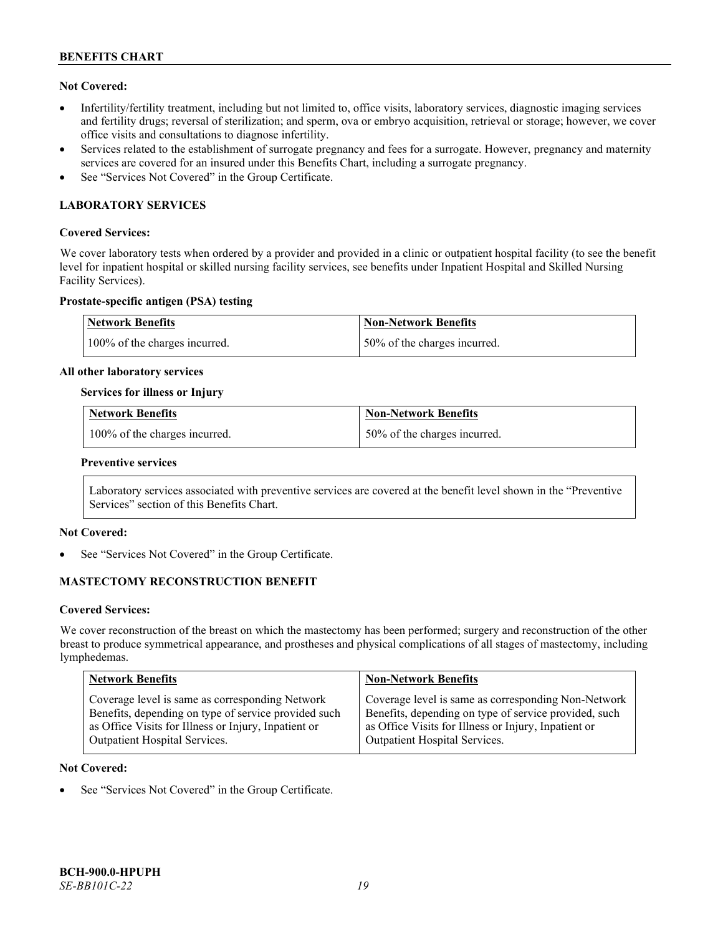# **Not Covered:**

- Infertility/fertility treatment, including but not limited to, office visits, laboratory services, diagnostic imaging services and fertility drugs; reversal of sterilization; and sperm, ova or embryo acquisition, retrieval or storage; however, we cover office visits and consultations to diagnose infertility.
- Services related to the establishment of surrogate pregnancy and fees for a surrogate. However, pregnancy and maternity services are covered for an insured under this Benefits Chart, including a surrogate pregnancy.
- See "Services Not Covered" in the Group Certificate.

# **LABORATORY SERVICES**

#### **Covered Services:**

We cover laboratory tests when ordered by a provider and provided in a clinic or outpatient hospital facility (to see the benefit level for inpatient hospital or skilled nursing facility services, see benefits under Inpatient Hospital and Skilled Nursing Facility Services).

#### **Prostate-specific antigen (PSA) testing**

| Network Benefits              | Non-Network Benefits          |
|-------------------------------|-------------------------------|
| 100% of the charges incurred. | 150% of the charges incurred. |

#### **All other laboratory services**

#### **Services for illness or Injury**

| <b>Network Benefits</b>       | <b>Non-Network Benefits</b>  |
|-------------------------------|------------------------------|
| 100% of the charges incurred. | 50% of the charges incurred. |

#### **Preventive services**

Laboratory services associated with preventive services are covered at the benefit level shown in the "Preventive Services" section of this Benefits Chart.

# **Not Covered:**

See "Services Not Covered" in the Group Certificate.

# **MASTECTOMY RECONSTRUCTION BENEFIT**

#### **Covered Services:**

We cover reconstruction of the breast on which the mastectomy has been performed; surgery and reconstruction of the other breast to produce symmetrical appearance, and prostheses and physical complications of all stages of mastectomy, including lymphedemas.

| <b>Network Benefits</b>                              | <b>Non-Network Benefits</b>                           |
|------------------------------------------------------|-------------------------------------------------------|
| Coverage level is same as corresponding Network      | Coverage level is same as corresponding Non-Network   |
| Benefits, depending on type of service provided such | Benefits, depending on type of service provided, such |
| as Office Visits for Illness or Injury, Inpatient or | as Office Visits for Illness or Injury, Inpatient or  |
| Outpatient Hospital Services.                        | Outpatient Hospital Services.                         |

#### **Not Covered:**

See "Services Not Covered" in the Group Certificate.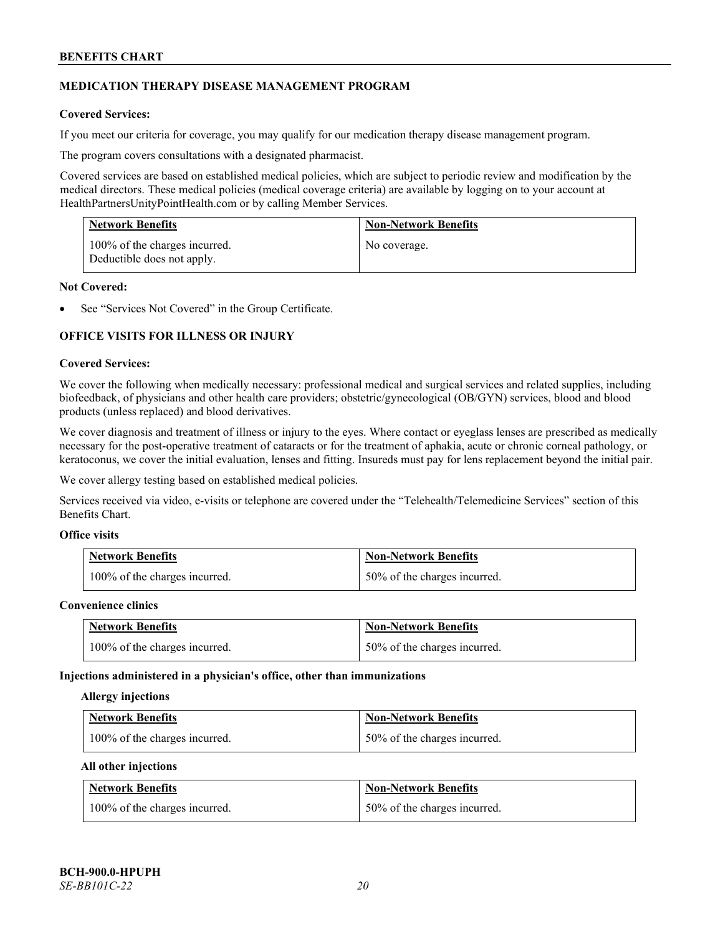# **MEDICATION THERAPY DISEASE MANAGEMENT PROGRAM**

# **Covered Services:**

If you meet our criteria for coverage, you may qualify for our medication therapy disease management program.

The program covers consultations with a designated pharmacist.

Covered services are based on established medical policies, which are subject to periodic review and modification by the medical directors. These medical policies (medical coverage criteria) are available by logging on to your account at [HealthPartnersUnityPointHealth.com](https://www.healthpartnersunitypointhealth.com/) or by calling Member Services.

| <b>Network Benefits</b>                                     | <b>Non-Network Benefits</b> |
|-------------------------------------------------------------|-----------------------------|
| 100% of the charges incurred.<br>Deductible does not apply. | No coverage.                |

### **Not Covered:**

See "Services Not Covered" in the Group Certificate.

# **OFFICE VISITS FOR ILLNESS OR INJURY**

#### **Covered Services:**

We cover the following when medically necessary: professional medical and surgical services and related supplies, including biofeedback, of physicians and other health care providers; obstetric/gynecological (OB/GYN) services, blood and blood products (unless replaced) and blood derivatives.

We cover diagnosis and treatment of illness or injury to the eyes. Where contact or eyeglass lenses are prescribed as medically necessary for the post-operative treatment of cataracts or for the treatment of aphakia, acute or chronic corneal pathology, or keratoconus, we cover the initial evaluation, lenses and fitting. Insureds must pay for lens replacement beyond the initial pair.

We cover allergy testing based on established medical policies.

Services received via video, e-visits or telephone are covered under the "Telehealth/Telemedicine Services" section of this Benefits Chart.

# **Office visits**

| <b>Network Benefits</b>       | <b>Non-Network Benefits</b>  |
|-------------------------------|------------------------------|
| 100% of the charges incurred. | 50% of the charges incurred. |

#### **Convenience clinics**

| <b>Network Benefits</b>       | <b>Non-Network Benefits</b>  |
|-------------------------------|------------------------------|
| 100% of the charges incurred. | 50% of the charges incurred. |

#### **Injections administered in a physician's office, other than immunizations**

#### **Allergy injections**

| <b>Network Benefits</b>       | <b>Non-Network Benefits</b>  |
|-------------------------------|------------------------------|
| 100% of the charges incurred. | 50% of the charges incurred. |

#### **All other injections**

| <b>Network Benefits</b>       | <b>Non-Network Benefits</b>  |
|-------------------------------|------------------------------|
| 100% of the charges incurred. | 50% of the charges incurred. |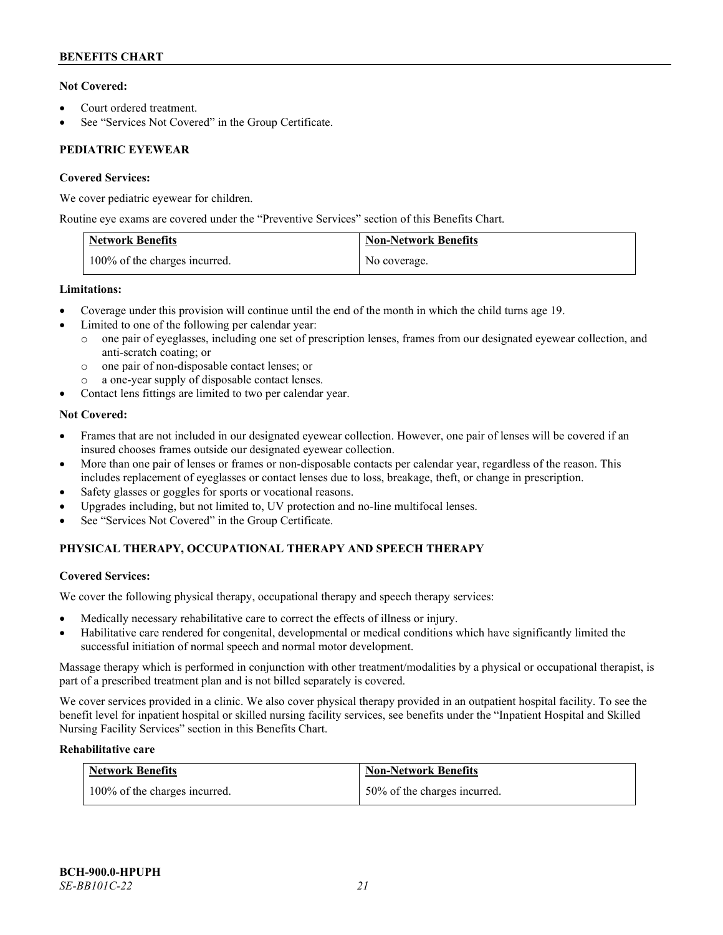# **Not Covered:**

- Court ordered treatment.
- See "Services Not Covered" in the Group Certificate.

# **PEDIATRIC EYEWEAR**

# **Covered Services:**

We cover pediatric eyewear for children.

Routine eye exams are covered under the "Preventive Services" section of this Benefits Chart.

| <b>Network Benefits</b>       | <b>Non-Network Benefits</b> |
|-------------------------------|-----------------------------|
| 100% of the charges incurred. | No coverage.                |

# **Limitations:**

- Coverage under this provision will continue until the end of the month in which the child turns age 19.
- Limited to one of the following per calendar year:
	- o one pair of eyeglasses, including one set of prescription lenses, frames from our designated eyewear collection, and anti-scratch coating; or
	- o one pair of non-disposable contact lenses; or
	- a one-year supply of disposable contact lenses.
- Contact lens fittings are limited to two per calendar year.

# **Not Covered:**

- Frames that are not included in our designated eyewear collection. However, one pair of lenses will be covered if an insured chooses frames outside our designated eyewear collection.
- More than one pair of lenses or frames or non-disposable contacts per calendar year, regardless of the reason. This includes replacement of eyeglasses or contact lenses due to loss, breakage, theft, or change in prescription.
- Safety glasses or goggles for sports or vocational reasons.
- Upgrades including, but not limited to, UV protection and no-line multifocal lenses.
- See "Services Not Covered" in the Group Certificate.

# **PHYSICAL THERAPY, OCCUPATIONAL THERAPY AND SPEECH THERAPY**

# **Covered Services:**

We cover the following physical therapy, occupational therapy and speech therapy services:

- Medically necessary rehabilitative care to correct the effects of illness or injury.
- Habilitative care rendered for congenital, developmental or medical conditions which have significantly limited the successful initiation of normal speech and normal motor development.

Massage therapy which is performed in conjunction with other treatment/modalities by a physical or occupational therapist, is part of a prescribed treatment plan and is not billed separately is covered.

We cover services provided in a clinic. We also cover physical therapy provided in an outpatient hospital facility. To see the benefit level for inpatient hospital or skilled nursing facility services, see benefits under the "Inpatient Hospital and Skilled Nursing Facility Services" section in this Benefits Chart.

# **Rehabilitative care**

| <b>Network Benefits</b>       | <b>Non-Network Benefits</b>  |
|-------------------------------|------------------------------|
| 100% of the charges incurred. | 50% of the charges incurred. |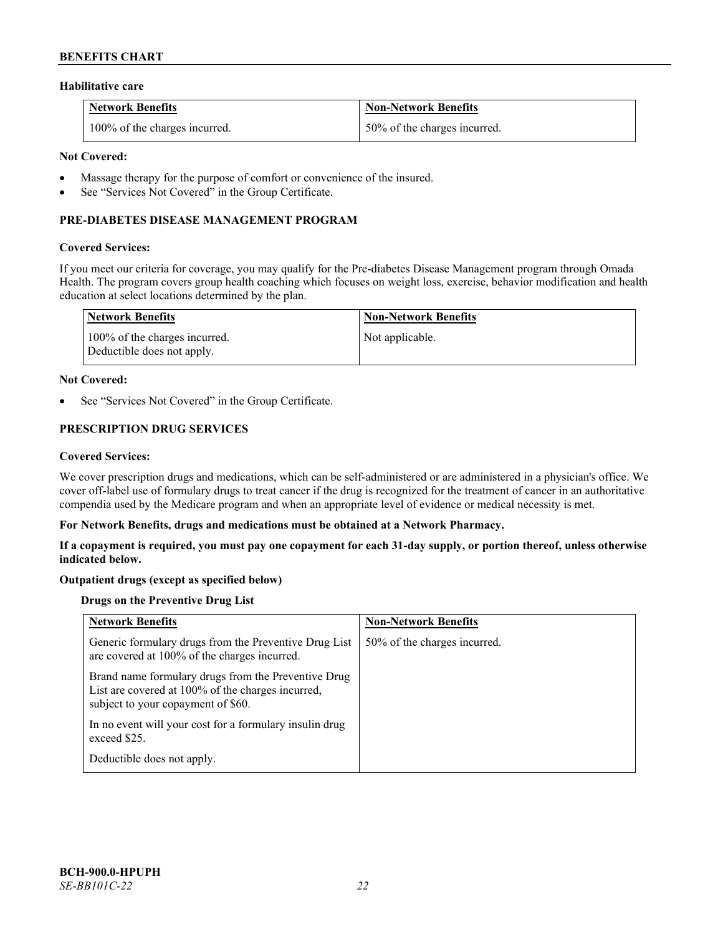#### **Habilitative care**

| <b>Network Benefits</b>       | <b>Non-Network Benefits</b>  |
|-------------------------------|------------------------------|
| 100% of the charges incurred. | 50% of the charges incurred. |

### **Not Covered:**

- Massage therapy for the purpose of comfort or convenience of the insured.
- See "Services Not Covered" in the Group Certificate.

# **PRE-DIABETES DISEASE MANAGEMENT PROGRAM**

#### **Covered Services:**

If you meet our criteria for coverage, you may qualify for the Pre-diabetes Disease Management program through Omada Health. The program covers group health coaching which focuses on weight loss, exercise, behavior modification and health education at select locations determined by the plan.

| Network Benefits                                            | <b>Non-Network Benefits</b> |
|-------------------------------------------------------------|-----------------------------|
| 100% of the charges incurred.<br>Deductible does not apply. | Not applicable.             |

#### **Not Covered:**

See "Services Not Covered" in the Group Certificate.

# **PRESCRIPTION DRUG SERVICES**

#### **Covered Services:**

We cover prescription drugs and medications, which can be self-administered or are administered in a physician's office. We cover off-label use of formulary drugs to treat cancer if the drug is recognized for the treatment of cancer in an authoritative compendia used by the Medicare program and when an appropriate level of evidence or medical necessity is met.

#### **For Network Benefits, drugs and medications must be obtained at a Network Pharmacy.**

**If a copayment is required, you must pay one copayment for each 31-day supply, or portion thereof, unless otherwise indicated below.**

# **Outpatient drugs (except as specified below)**

# **Drugs on the Preventive Drug List**

| <b>Network Benefits</b>                                                                                                                        | <b>Non-Network Benefits</b>  |
|------------------------------------------------------------------------------------------------------------------------------------------------|------------------------------|
| Generic formulary drugs from the Preventive Drug List<br>are covered at 100% of the charges incurred.                                          | 50% of the charges incurred. |
| Brand name formulary drugs from the Preventive Drug<br>List are covered at 100% of the charges incurred,<br>subject to your copayment of \$60. |                              |
| In no event will your cost for a formulary insulin drug<br>exceed \$25.                                                                        |                              |
| Deductible does not apply.                                                                                                                     |                              |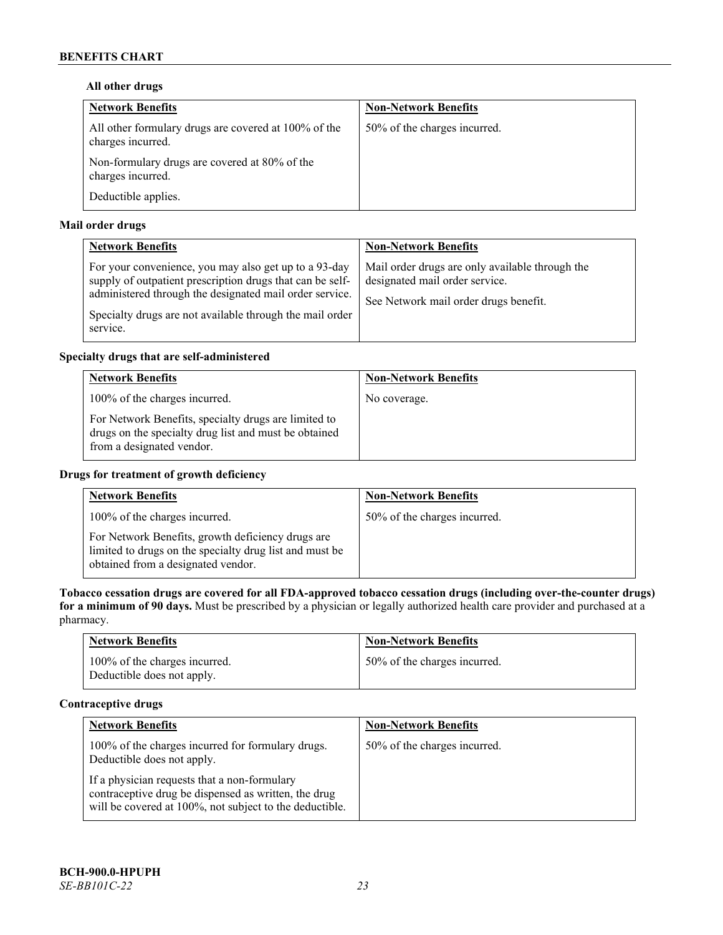# **All other drugs**

| <b>Network Benefits</b>                                                   | <b>Non-Network Benefits</b>  |
|---------------------------------------------------------------------------|------------------------------|
| All other formulary drugs are covered at 100% of the<br>charges incurred. | 50% of the charges incurred. |
| Non-formulary drugs are covered at 80% of the<br>charges incurred.        |                              |
| Deductible applies.                                                       |                              |

# **Mail order drugs**

| <b>Network Benefits</b>                                                                                                                                                                                                                               | <b>Non-Network Benefits</b>                                                                                                |
|-------------------------------------------------------------------------------------------------------------------------------------------------------------------------------------------------------------------------------------------------------|----------------------------------------------------------------------------------------------------------------------------|
| For your convenience, you may also get up to a 93-day<br>supply of outpatient prescription drugs that can be self-<br>administered through the designated mail order service.<br>Specialty drugs are not available through the mail order<br>service. | Mail order drugs are only available through the<br>designated mail order service.<br>See Network mail order drugs benefit. |

# **Specialty drugs that are self-administered**

| <b>Network Benefits</b>                                                                                                                    | <b>Non-Network Benefits</b> |
|--------------------------------------------------------------------------------------------------------------------------------------------|-----------------------------|
| 100% of the charges incurred.                                                                                                              | No coverage.                |
| For Network Benefits, specialty drugs are limited to<br>drugs on the specialty drug list and must be obtained<br>from a designated vendor. |                             |

# **Drugs for treatment of growth deficiency**

| <b>Network Benefits</b>                                                                                                                            | <b>Non-Network Benefits</b>  |
|----------------------------------------------------------------------------------------------------------------------------------------------------|------------------------------|
| 100% of the charges incurred.                                                                                                                      | 50% of the charges incurred. |
| For Network Benefits, growth deficiency drugs are<br>limited to drugs on the specialty drug list and must be<br>obtained from a designated vendor. |                              |

**Tobacco cessation drugs are covered for all FDA-approved tobacco cessation drugs (including over-the-counter drugs) for a minimum of 90 days.** Must be prescribed by a physician or legally authorized health care provider and purchased at a pharmacy.

| <b>Network Benefits</b>                                     | <b>Non-Network Benefits</b>  |
|-------------------------------------------------------------|------------------------------|
| 100% of the charges incurred.<br>Deductible does not apply. | 50% of the charges incurred. |

# **Contraceptive drugs**

| <b>Network Benefits</b>                                                                                                                                         | <b>Non-Network Benefits</b>  |
|-----------------------------------------------------------------------------------------------------------------------------------------------------------------|------------------------------|
| 100% of the charges incurred for formulary drugs.<br>Deductible does not apply.                                                                                 | 50% of the charges incurred. |
| If a physician requests that a non-formulary<br>contraceptive drug be dispensed as written, the drug<br>will be covered at 100%, not subject to the deductible. |                              |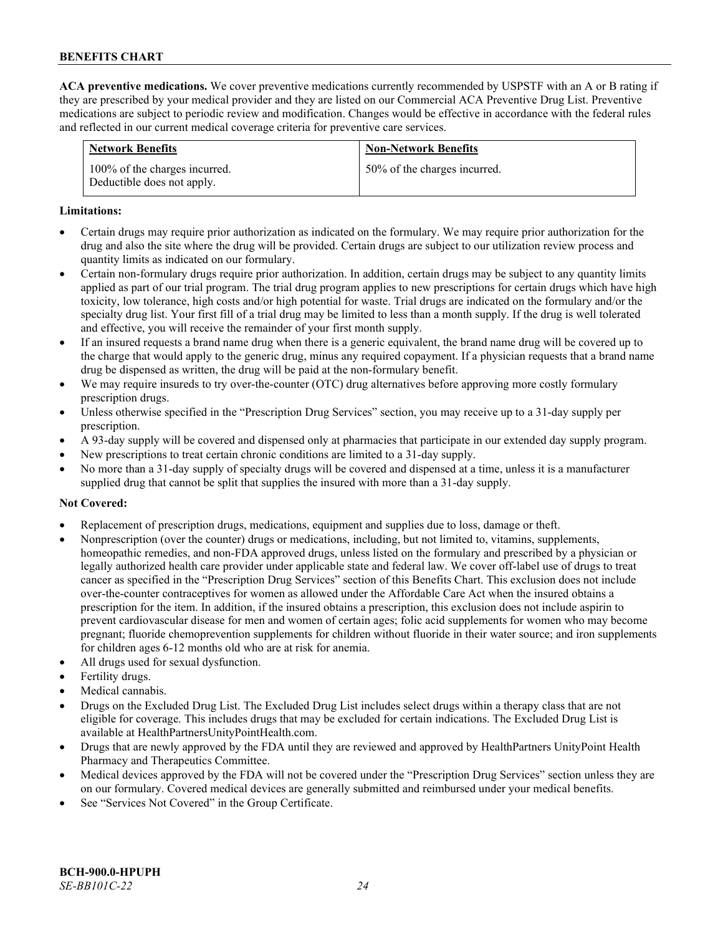**ACA preventive medications.** We cover preventive medications currently recommended by USPSTF with an A or B rating if they are prescribed by your medical provider and they are listed on our Commercial ACA Preventive Drug List. Preventive medications are subject to periodic review and modification. Changes would be effective in accordance with the federal rules and reflected in our current medical coverage criteria for preventive care services.

| <b>Network Benefits</b>                                     | <b>Non-Network Benefits</b>  |
|-------------------------------------------------------------|------------------------------|
| 100% of the charges incurred.<br>Deductible does not apply. | 50% of the charges incurred. |

### **Limitations:**

- Certain drugs may require prior authorization as indicated on the formulary. We may require prior authorization for the drug and also the site where the drug will be provided. Certain drugs are subject to our utilization review process and quantity limits as indicated on our formulary.
- Certain non-formulary drugs require prior authorization. In addition, certain drugs may be subject to any quantity limits applied as part of our trial program. The trial drug program applies to new prescriptions for certain drugs which have high toxicity, low tolerance, high costs and/or high potential for waste. Trial drugs are indicated on the formulary and/or the specialty drug list. Your first fill of a trial drug may be limited to less than a month supply. If the drug is well tolerated and effective, you will receive the remainder of your first month supply.
- If an insured requests a brand name drug when there is a generic equivalent, the brand name drug will be covered up to the charge that would apply to the generic drug, minus any required copayment. If a physician requests that a brand name drug be dispensed as written, the drug will be paid at the non-formulary benefit.
- We may require insureds to try over-the-counter (OTC) drug alternatives before approving more costly formulary prescription drugs.
- Unless otherwise specified in the "Prescription Drug Services" section, you may receive up to a 31-day supply per prescription.
- A 93-day supply will be covered and dispensed only at pharmacies that participate in our extended day supply program.
- New prescriptions to treat certain chronic conditions are limited to a 31-day supply.
- No more than a 31-day supply of specialty drugs will be covered and dispensed at a time, unless it is a manufacturer supplied drug that cannot be split that supplies the insured with more than a 31-day supply.

# **Not Covered:**

- Replacement of prescription drugs, medications, equipment and supplies due to loss, damage or theft.
- Nonprescription (over the counter) drugs or medications, including, but not limited to, vitamins, supplements, homeopathic remedies, and non-FDA approved drugs, unless listed on the formulary and prescribed by a physician or legally authorized health care provider under applicable state and federal law. We cover off-label use of drugs to treat cancer as specified in the "Prescription Drug Services" section of this Benefits Chart. This exclusion does not include over-the-counter contraceptives for women as allowed under the Affordable Care Act when the insured obtains a prescription for the item. In addition, if the insured obtains a prescription, this exclusion does not include aspirin to prevent cardiovascular disease for men and women of certain ages; folic acid supplements for women who may become pregnant; fluoride chemoprevention supplements for children without fluoride in their water source; and iron supplements for children ages 6-12 months old who are at risk for anemia.
- All drugs used for sexual dysfunction.
- Fertility drugs.
- Medical cannabis.
- Drugs on the Excluded Drug List. The Excluded Drug List includes select drugs within a therapy class that are not eligible for coverage. This includes drugs that may be excluded for certain indications. The Excluded Drug List is available a[t HealthPartnersUnityPointHealth.com.](https://www.healthpartnersunitypointhealth.com/)
- Drugs that are newly approved by the FDA until they are reviewed and approved by HealthPartners UnityPoint Health Pharmacy and Therapeutics Committee.
- Medical devices approved by the FDA will not be covered under the "Prescription Drug Services" section unless they are on our formulary. Covered medical devices are generally submitted and reimbursed under your medical benefits.
- See "Services Not Covered" in the Group Certificate.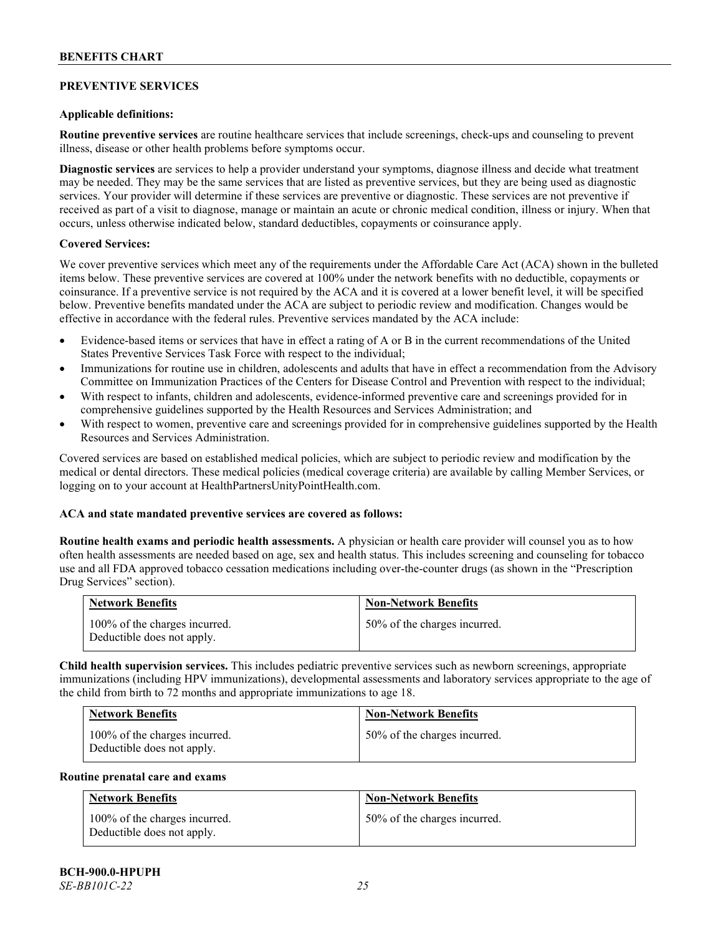# **PREVENTIVE SERVICES**

### **Applicable definitions:**

**Routine preventive services** are routine healthcare services that include screenings, check-ups and counseling to prevent illness, disease or other health problems before symptoms occur.

**Diagnostic services** are services to help a provider understand your symptoms, diagnose illness and decide what treatment may be needed. They may be the same services that are listed as preventive services, but they are being used as diagnostic services. Your provider will determine if these services are preventive or diagnostic. These services are not preventive if received as part of a visit to diagnose, manage or maintain an acute or chronic medical condition, illness or injury. When that occurs, unless otherwise indicated below, standard deductibles, copayments or coinsurance apply.

#### **Covered Services:**

We cover preventive services which meet any of the requirements under the Affordable Care Act (ACA) shown in the bulleted items below. These preventive services are covered at 100% under the network benefits with no deductible, copayments or coinsurance. If a preventive service is not required by the ACA and it is covered at a lower benefit level, it will be specified below. Preventive benefits mandated under the ACA are subject to periodic review and modification. Changes would be effective in accordance with the federal rules. Preventive services mandated by the ACA include:

- Evidence-based items or services that have in effect a rating of A or B in the current recommendations of the United States Preventive Services Task Force with respect to the individual;
- Immunizations for routine use in children, adolescents and adults that have in effect a recommendation from the Advisory Committee on Immunization Practices of the Centers for Disease Control and Prevention with respect to the individual;
- With respect to infants, children and adolescents, evidence-informed preventive care and screenings provided for in comprehensive guidelines supported by the Health Resources and Services Administration; and
- With respect to women, preventive care and screenings provided for in comprehensive guidelines supported by the Health Resources and Services Administration.

Covered services are based on established medical policies, which are subject to periodic review and modification by the medical or dental directors. These medical policies (medical coverage criteria) are available by calling Member Services, or logging on to your account at [HealthPartnersUnityPointHealth.com.](https://www.healthpartnersunitypointhealth.com/)

# **ACA and state mandated preventive services are covered as follows:**

**Routine health exams and periodic health assessments.** A physician or health care provider will counsel you as to how often health assessments are needed based on age, sex and health status. This includes screening and counseling for tobacco use and all FDA approved tobacco cessation medications including over-the-counter drugs (as shown in the "Prescription Drug Services" section).

| <b>Network Benefits</b>                                     | <b>Non-Network Benefits</b>  |
|-------------------------------------------------------------|------------------------------|
| 100% of the charges incurred.<br>Deductible does not apply. | 50% of the charges incurred. |

**Child health supervision services.** This includes pediatric preventive services such as newborn screenings, appropriate immunizations (including HPV immunizations), developmental assessments and laboratory services appropriate to the age of the child from birth to 72 months and appropriate immunizations to age 18.

| <b>Network Benefits</b>                                     | <b>Non-Network Benefits</b>  |
|-------------------------------------------------------------|------------------------------|
| 100% of the charges incurred.<br>Deductible does not apply. | 50% of the charges incurred. |

#### **Routine prenatal care and exams**

| <b>Network Benefits</b>                                     | <b>Non-Network Benefits</b>  |
|-------------------------------------------------------------|------------------------------|
| 100% of the charges incurred.<br>Deductible does not apply. | 50% of the charges incurred. |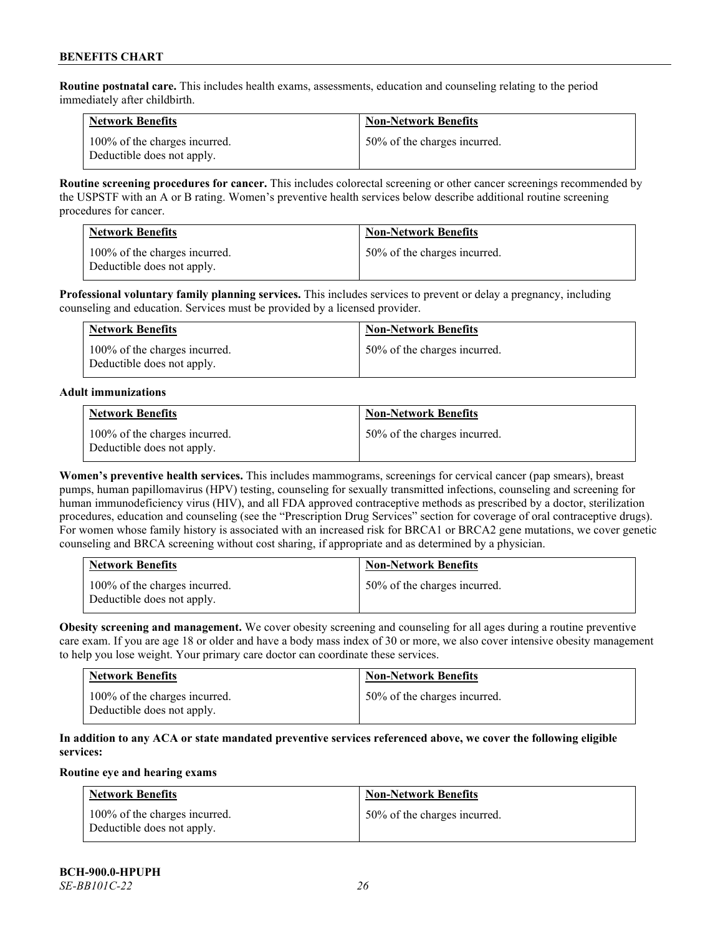**Routine postnatal care.** This includes health exams, assessments, education and counseling relating to the period immediately after childbirth.

| <b>Network Benefits</b>                                     | <b>Non-Network Benefits</b>  |
|-------------------------------------------------------------|------------------------------|
| 100% of the charges incurred.<br>Deductible does not apply. | 50% of the charges incurred. |

**Routine screening procedures for cancer.** This includes colorectal screening or other cancer screenings recommended by the USPSTF with an A or B rating. Women's preventive health services below describe additional routine screening procedures for cancer.

| <b>Network Benefits</b>                                     | <b>Non-Network Benefits</b>  |
|-------------------------------------------------------------|------------------------------|
| 100% of the charges incurred.<br>Deductible does not apply. | 50% of the charges incurred. |

**Professional voluntary family planning services.** This includes services to prevent or delay a pregnancy, including counseling and education. Services must be provided by a licensed provider.

| <b>Network Benefits</b>                                     | <b>Non-Network Benefits</b>  |
|-------------------------------------------------------------|------------------------------|
| 100% of the charges incurred.<br>Deductible does not apply. | 50% of the charges incurred. |

#### **Adult immunizations**

| <b>Network Benefits</b>                                     | <b>Non-Network Benefits</b>  |
|-------------------------------------------------------------|------------------------------|
| 100% of the charges incurred.<br>Deductible does not apply. | 50% of the charges incurred. |

**Women's preventive health services.** This includes mammograms, screenings for cervical cancer (pap smears), breast pumps, human papillomavirus (HPV) testing, counseling for sexually transmitted infections, counseling and screening for human immunodeficiency virus (HIV), and all FDA approved contraceptive methods as prescribed by a doctor, sterilization procedures, education and counseling (see the "Prescription Drug Services" section for coverage of oral contraceptive drugs). For women whose family history is associated with an increased risk for BRCA1 or BRCA2 gene mutations, we cover genetic counseling and BRCA screening without cost sharing, if appropriate and as determined by a physician.

| <b>Network Benefits</b>                                     | <b>Non-Network Benefits</b>  |
|-------------------------------------------------------------|------------------------------|
| 100% of the charges incurred.<br>Deductible does not apply. | 50% of the charges incurred. |

**Obesity screening and management.** We cover obesity screening and counseling for all ages during a routine preventive care exam. If you are age 18 or older and have a body mass index of 30 or more, we also cover intensive obesity management to help you lose weight. Your primary care doctor can coordinate these services.

| <b>Network Benefits</b>                                     | <b>Non-Network Benefits</b>  |
|-------------------------------------------------------------|------------------------------|
| 100% of the charges incurred.<br>Deductible does not apply. | 50% of the charges incurred. |

# **In addition to any ACA or state mandated preventive services referenced above, we cover the following eligible services:**

# **Routine eye and hearing exams**

| <b>Network Benefits</b>                                     | <b>Non-Network Benefits</b>  |
|-------------------------------------------------------------|------------------------------|
| 100% of the charges incurred.<br>Deductible does not apply. | 50% of the charges incurred. |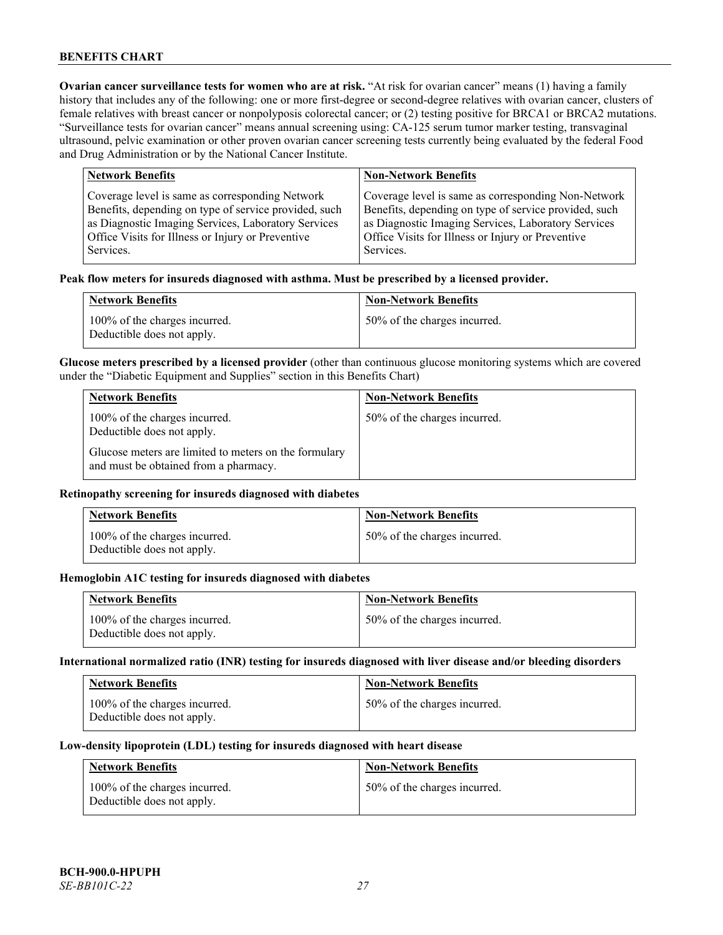**Ovarian cancer surveillance tests for women who are at risk. "At risk for ovarian cancer" means (1) having a family** history that includes any of the following: one or more first-degree or second-degree relatives with ovarian cancer, clusters of female relatives with breast cancer or nonpolyposis colorectal cancer; or (2) testing positive for BRCA1 or BRCA2 mutations. "Surveillance tests for ovarian cancer" means annual screening using: CA-125 serum tumor marker testing, transvaginal ultrasound, pelvic examination or other proven ovarian cancer screening tests currently being evaluated by the federal Food and Drug Administration or by the National Cancer Institute.

| <b>Network Benefits</b>                               | <b>Non-Network Benefits</b>                           |
|-------------------------------------------------------|-------------------------------------------------------|
| Coverage level is same as corresponding Network       | Coverage level is same as corresponding Non-Network   |
| Benefits, depending on type of service provided, such | Benefits, depending on type of service provided, such |
| as Diagnostic Imaging Services, Laboratory Services   | as Diagnostic Imaging Services, Laboratory Services   |
| Office Visits for Illness or Injury or Preventive     | Office Visits for Illness or Injury or Preventive     |
| Services.                                             | Services.                                             |

#### **Peak flow meters for insureds diagnosed with asthma. Must be prescribed by a licensed provider.**

| <b>Network Benefits</b>                                     | <b>Non-Network Benefits</b>  |
|-------------------------------------------------------------|------------------------------|
| 100% of the charges incurred.<br>Deductible does not apply. | 50% of the charges incurred. |

**Glucose meters prescribed by a licensed provider** (other than continuous glucose monitoring systems which are covered under the "Diabetic Equipment and Supplies" section in this Benefits Chart)

| <b>Network Benefits</b>                                                                        | <b>Non-Network Benefits</b>  |
|------------------------------------------------------------------------------------------------|------------------------------|
| 100% of the charges incurred.<br>Deductible does not apply.                                    | 50% of the charges incurred. |
| Glucose meters are limited to meters on the formulary<br>and must be obtained from a pharmacy. |                              |

### **Retinopathy screening for insureds diagnosed with diabetes**

| <b>Network Benefits</b>                                     | <b>Non-Network Benefits</b>  |
|-------------------------------------------------------------|------------------------------|
| 100% of the charges incurred.<br>Deductible does not apply. | 50% of the charges incurred. |

#### **Hemoglobin A1C testing for insureds diagnosed with diabetes**

| <b>Network Benefits</b>                                     | <b>Non-Network Benefits</b>  |
|-------------------------------------------------------------|------------------------------|
| 100% of the charges incurred.<br>Deductible does not apply. | 50% of the charges incurred. |

# **International normalized ratio (INR) testing for insureds diagnosed with liver disease and/or bleeding disorders**

| <b>Network Benefits</b>                                     | <b>Non-Network Benefits</b>  |
|-------------------------------------------------------------|------------------------------|
| 100% of the charges incurred.<br>Deductible does not apply. | 50% of the charges incurred. |

#### **Low-density lipoprotein (LDL) testing for insureds diagnosed with heart disease**

| <b>Network Benefits</b>                                     | <b>Non-Network Benefits</b>  |
|-------------------------------------------------------------|------------------------------|
| 100% of the charges incurred.<br>Deductible does not apply. | 50% of the charges incurred. |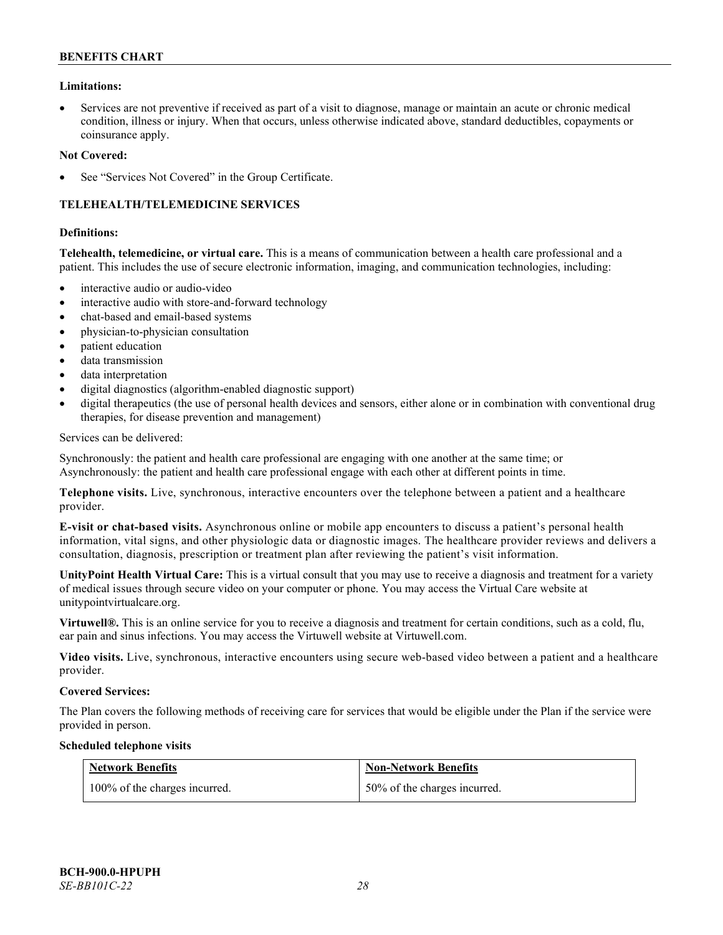### **Limitations:**

• Services are not preventive if received as part of a visit to diagnose, manage or maintain an acute or chronic medical condition, illness or injury. When that occurs, unless otherwise indicated above, standard deductibles, copayments or coinsurance apply.

#### **Not Covered:**

See "Services Not Covered" in the Group Certificate.

# **TELEHEALTH/TELEMEDICINE SERVICES**

#### **Definitions:**

**Telehealth, telemedicine, or virtual care.** This is a means of communication between a health care professional and a patient. This includes the use of secure electronic information, imaging, and communication technologies, including:

- interactive audio or audio-video
- interactive audio with store-and-forward technology
- chat-based and email-based systems
- physician-to-physician consultation
- patient education
- data transmission
- data interpretation
- digital diagnostics (algorithm-enabled diagnostic support)
- digital therapeutics (the use of personal health devices and sensors, either alone or in combination with conventional drug therapies, for disease prevention and management)

#### Services can be delivered:

Synchronously: the patient and health care professional are engaging with one another at the same time; or Asynchronously: the patient and health care professional engage with each other at different points in time.

**Telephone visits.** Live, synchronous, interactive encounters over the telephone between a patient and a healthcare provider.

**E-visit or chat-based visits.** Asynchronous online or mobile app encounters to discuss a patient's personal health information, vital signs, and other physiologic data or diagnostic images. The healthcare provider reviews and delivers a consultation, diagnosis, prescription or treatment plan after reviewing the patient's visit information.

**UnityPoint Health Virtual Care:** This is a virtual consult that you may use to receive a diagnosis and treatment for a variety of medical issues through secure video on your computer or phone. You may access the Virtual Care website at [unitypointvirtualcare.org.](https://unitypointvirtualcare.org/landing.htm)

**Virtuwell®.** This is an online service for you to receive a diagnosis and treatment for certain conditions, such as a cold, flu, ear pain and sinus infections. You may access the Virtuwell website at [Virtuwell.com.](https://www.virtuwell.com/)

**Video visits.** Live, synchronous, interactive encounters using secure web-based video between a patient and a healthcare provider.

#### **Covered Services:**

The Plan covers the following methods of receiving care for services that would be eligible under the Plan if the service were provided in person.

#### **Scheduled telephone visits**

| <b>Network Benefits</b>       | <b>Non-Network Benefits</b>  |
|-------------------------------|------------------------------|
| 100% of the charges incurred. | 50% of the charges incurred. |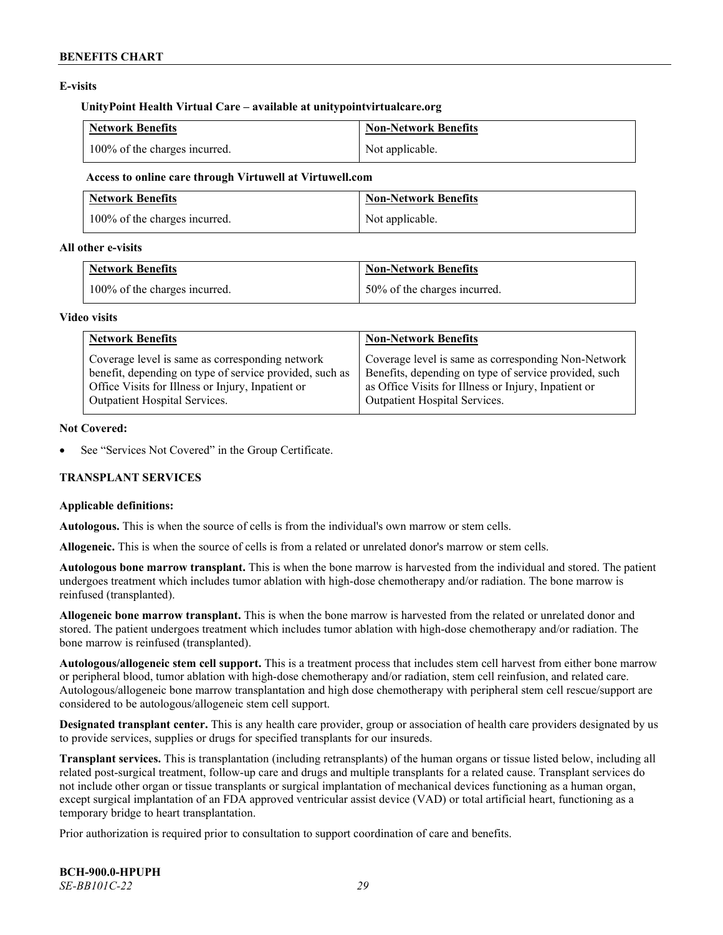# **E-visits**

#### **UnityPoint Health Virtual Care – available at [unitypointvirtualcare.org](http://www.unitypointvirtualcare.org/)**

| <b>Network Benefits</b>       | <b>Non-Network Benefits</b> |
|-------------------------------|-----------------------------|
| 100% of the charges incurred. | Not applicable.             |

#### **Access to online care through Virtuwell at [Virtuwell.com](http://www.virtuwell.com/)**

| <b>Network Benefits</b>       | Non-Network Benefits |
|-------------------------------|----------------------|
| 100% of the charges incurred. | Not applicable.      |

### **All other e-visits**

| <b>Network Benefits</b>       | <b>Non-Network Benefits</b>  |
|-------------------------------|------------------------------|
| 100% of the charges incurred. | 50% of the charges incurred. |

#### **Video visits**

| <b>Network Benefits</b>                                 | <b>Non-Network Benefits</b>                           |
|---------------------------------------------------------|-------------------------------------------------------|
| Coverage level is same as corresponding network         | Coverage level is same as corresponding Non-Network   |
| benefit, depending on type of service provided, such as | Benefits, depending on type of service provided, such |
| Office Visits for Illness or Injury, Inpatient or       | as Office Visits for Illness or Injury, Inpatient or  |
| Outpatient Hospital Services.                           | Outpatient Hospital Services.                         |

### **Not Covered:**

See "Services Not Covered" in the Group Certificate.

# **TRANSPLANT SERVICES**

# **Applicable definitions:**

**Autologous.** This is when the source of cells is from the individual's own marrow or stem cells.

**Allogeneic.** This is when the source of cells is from a related or unrelated donor's marrow or stem cells.

**Autologous bone marrow transplant.** This is when the bone marrow is harvested from the individual and stored. The patient undergoes treatment which includes tumor ablation with high-dose chemotherapy and/or radiation. The bone marrow is reinfused (transplanted).

**Allogeneic bone marrow transplant.** This is when the bone marrow is harvested from the related or unrelated donor and stored. The patient undergoes treatment which includes tumor ablation with high-dose chemotherapy and/or radiation. The bone marrow is reinfused (transplanted).

**Autologous/allogeneic stem cell support.** This is a treatment process that includes stem cell harvest from either bone marrow or peripheral blood, tumor ablation with high-dose chemotherapy and/or radiation, stem cell reinfusion, and related care. Autologous/allogeneic bone marrow transplantation and high dose chemotherapy with peripheral stem cell rescue/support are considered to be autologous/allogeneic stem cell support.

**Designated transplant center.** This is any health care provider, group or association of health care providers designated by us to provide services, supplies or drugs for specified transplants for our insureds.

**Transplant services.** This is transplantation (including retransplants) of the human organs or tissue listed below, including all related post-surgical treatment, follow-up care and drugs and multiple transplants for a related cause. Transplant services do not include other organ or tissue transplants or surgical implantation of mechanical devices functioning as a human organ, except surgical implantation of an FDA approved ventricular assist device (VAD) or total artificial heart, functioning as a temporary bridge to heart transplantation.

Prior authorization is required prior to consultation to support coordination of care and benefits.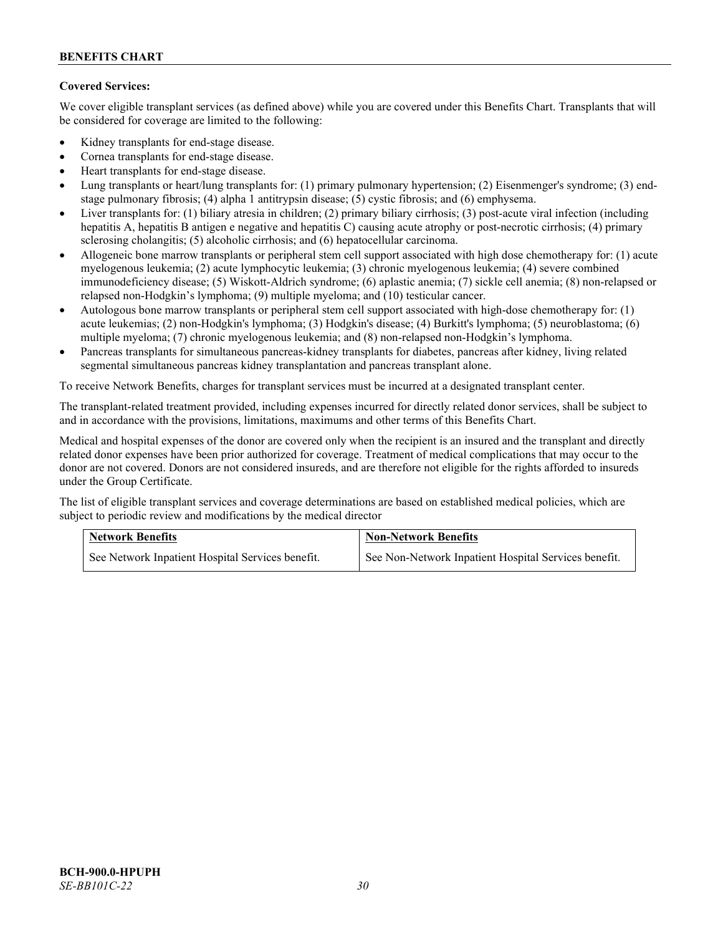# **Covered Services:**

We cover eligible transplant services (as defined above) while you are covered under this Benefits Chart. Transplants that will be considered for coverage are limited to the following:

- Kidney transplants for end-stage disease.
- Cornea transplants for end-stage disease.
- Heart transplants for end-stage disease.
- Lung transplants or heart/lung transplants for: (1) primary pulmonary hypertension; (2) Eisenmenger's syndrome; (3) endstage pulmonary fibrosis; (4) alpha 1 antitrypsin disease; (5) cystic fibrosis; and (6) emphysema.
- Liver transplants for: (1) biliary atresia in children; (2) primary biliary cirrhosis; (3) post-acute viral infection (including hepatitis A, hepatitis B antigen e negative and hepatitis C) causing acute atrophy or post-necrotic cirrhosis; (4) primary sclerosing cholangitis; (5) alcoholic cirrhosis; and (6) hepatocellular carcinoma.
- Allogeneic bone marrow transplants or peripheral stem cell support associated with high dose chemotherapy for: (1) acute myelogenous leukemia; (2) acute lymphocytic leukemia; (3) chronic myelogenous leukemia; (4) severe combined immunodeficiency disease; (5) Wiskott-Aldrich syndrome; (6) aplastic anemia; (7) sickle cell anemia; (8) non-relapsed or relapsed non-Hodgkin's lymphoma; (9) multiple myeloma; and (10) testicular cancer.
- Autologous bone marrow transplants or peripheral stem cell support associated with high-dose chemotherapy for: (1) acute leukemias; (2) non-Hodgkin's lymphoma; (3) Hodgkin's disease; (4) Burkitt's lymphoma; (5) neuroblastoma; (6) multiple myeloma; (7) chronic myelogenous leukemia; and (8) non-relapsed non-Hodgkin's lymphoma.
- Pancreas transplants for simultaneous pancreas-kidney transplants for diabetes, pancreas after kidney, living related segmental simultaneous pancreas kidney transplantation and pancreas transplant alone.

To receive Network Benefits, charges for transplant services must be incurred at a designated transplant center.

The transplant-related treatment provided, including expenses incurred for directly related donor services, shall be subject to and in accordance with the provisions, limitations, maximums and other terms of this Benefits Chart.

Medical and hospital expenses of the donor are covered only when the recipient is an insured and the transplant and directly related donor expenses have been prior authorized for coverage. Treatment of medical complications that may occur to the donor are not covered. Donors are not considered insureds, and are therefore not eligible for the rights afforded to insureds under the Group Certificate.

The list of eligible transplant services and coverage determinations are based on established medical policies, which are subject to periodic review and modifications by the medical director

| <b>Network Benefits</b>                          | <b>Non-Network Benefits</b>                          |  |
|--------------------------------------------------|------------------------------------------------------|--|
| See Network Inpatient Hospital Services benefit. | See Non-Network Inpatient Hospital Services benefit. |  |